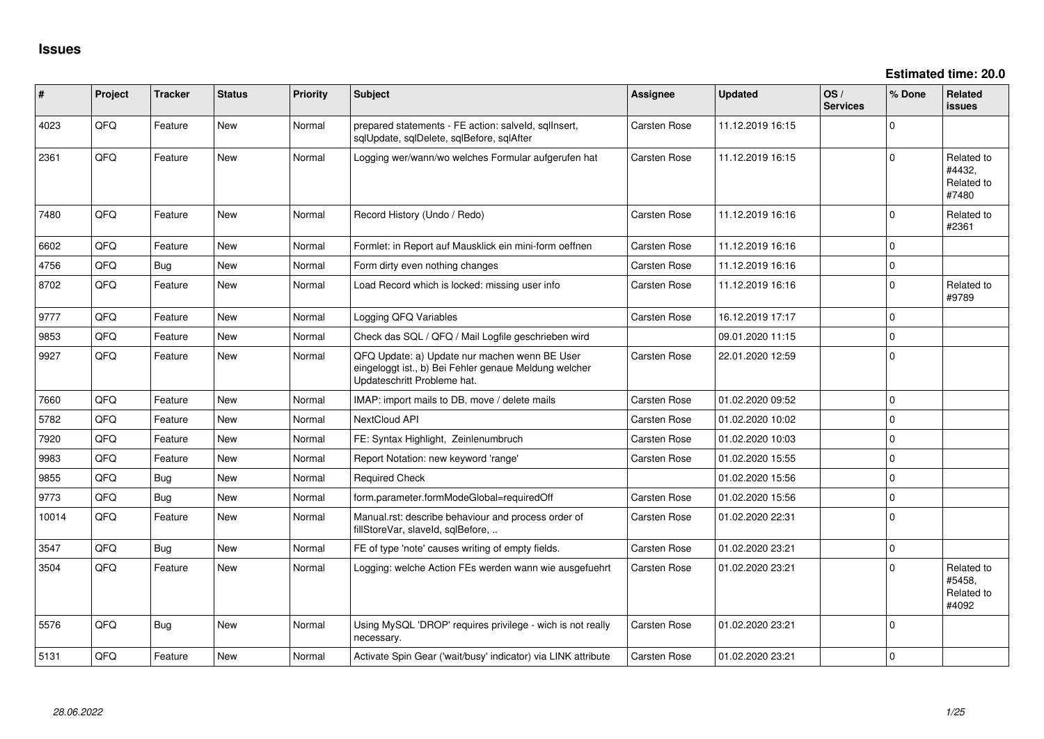**Estimated time: 20.0**

| #     | Project | <b>Tracker</b> | <b>Status</b> | <b>Priority</b> | <b>Subject</b>                                                                                                                        | <b>Assignee</b>     | <b>Updated</b>   | OS/<br><b>Services</b> | % Done       | Related<br><b>issues</b>                    |
|-------|---------|----------------|---------------|-----------------|---------------------------------------------------------------------------------------------------------------------------------------|---------------------|------------------|------------------------|--------------|---------------------------------------------|
| 4023  | QFQ     | Feature        | New           | Normal          | prepared statements - FE action: salveld, sqllnsert,<br>sqlUpdate, sqlDelete, sqlBefore, sqlAfter                                     | <b>Carsten Rose</b> | 11.12.2019 16:15 |                        | <sup>0</sup> |                                             |
| 2361  | QFQ     | Feature        | <b>New</b>    | Normal          | Logging wer/wann/wo welches Formular aufgerufen hat                                                                                   | Carsten Rose        | 11.12.2019 16:15 |                        | $\Omega$     | Related to<br>#4432,<br>Related to<br>#7480 |
| 7480  | QFQ     | Feature        | <b>New</b>    | Normal          | Record History (Undo / Redo)                                                                                                          | Carsten Rose        | 11.12.2019 16:16 |                        | 0            | Related to<br>#2361                         |
| 6602  | QFQ     | Feature        | <b>New</b>    | Normal          | Formlet: in Report auf Mausklick ein mini-form oeffnen                                                                                | Carsten Rose        | 11.12.2019 16:16 |                        | 0            |                                             |
| 4756  | QFQ     | Bug            | <b>New</b>    | Normal          | Form dirty even nothing changes                                                                                                       | Carsten Rose        | 11.12.2019 16:16 |                        | 0            |                                             |
| 8702  | QFQ     | Feature        | <b>New</b>    | Normal          | Load Record which is locked: missing user info                                                                                        | Carsten Rose        | 11.12.2019 16:16 |                        | 0            | Related to<br>#9789                         |
| 9777  | QFQ     | Feature        | <b>New</b>    | Normal          | Logging QFQ Variables                                                                                                                 | Carsten Rose        | 16.12.2019 17:17 |                        | 0            |                                             |
| 9853  | QFQ     | Feature        | New           | Normal          | Check das SQL / QFQ / Mail Logfile geschrieben wird                                                                                   |                     | 09.01.2020 11:15 |                        | $\Omega$     |                                             |
| 9927  | QFQ     | Feature        | <b>New</b>    | Normal          | QFQ Update: a) Update nur machen wenn BE User<br>eingeloggt ist., b) Bei Fehler genaue Meldung welcher<br>Updateschritt Probleme hat. | Carsten Rose        | 22.01.2020 12:59 |                        | $\Omega$     |                                             |
| 7660  | QFQ     | Feature        | <b>New</b>    | Normal          | IMAP: import mails to DB, move / delete mails                                                                                         | Carsten Rose        | 01.02.2020 09:52 |                        | $\mathbf 0$  |                                             |
| 5782  | QFQ     | Feature        | <b>New</b>    | Normal          | NextCloud API                                                                                                                         | Carsten Rose        | 01.02.2020 10:02 |                        | $\Omega$     |                                             |
| 7920  | QFQ     | Feature        | <b>New</b>    | Normal          | FE: Syntax Highlight, Zeinlenumbruch                                                                                                  | Carsten Rose        | 01.02.2020 10:03 |                        | $\Omega$     |                                             |
| 9983  | QFQ     | Feature        | New           | Normal          | Report Notation: new keyword 'range'                                                                                                  | Carsten Rose        | 01.02.2020 15:55 |                        | $\Omega$     |                                             |
| 9855  | QFQ     | Bug            | New           | Normal          | <b>Required Check</b>                                                                                                                 |                     | 01.02.2020 15:56 |                        | $\Omega$     |                                             |
| 9773  | QFQ     | Bug            | New           | Normal          | form.parameter.formModeGlobal=requiredOff                                                                                             | Carsten Rose        | 01.02.2020 15:56 |                        | $\Omega$     |                                             |
| 10014 | QFQ     | Feature        | New           | Normal          | Manual.rst: describe behaviour and process order of<br>fillStoreVar, slaveId, sqlBefore,                                              | Carsten Rose        | 01.02.2020 22:31 |                        | $\Omega$     |                                             |
| 3547  | QFQ     | Bug            | New           | Normal          | FE of type 'note' causes writing of empty fields.                                                                                     | <b>Carsten Rose</b> | 01.02.2020 23:21 |                        | $\mathbf 0$  |                                             |
| 3504  | QFQ     | Feature        | <b>New</b>    | Normal          | Logging: welche Action FEs werden wann wie ausgefuehrt                                                                                | Carsten Rose        | 01.02.2020 23:21 |                        | <sup>0</sup> | Related to<br>#5458,<br>Related to<br>#4092 |
| 5576  | QFQ     | Bug            | <b>New</b>    | Normal          | Using MySQL 'DROP' requires privilege - wich is not really<br>necessary.                                                              | Carsten Rose        | 01.02.2020 23:21 |                        | 0            |                                             |
| 5131  | QFQ     | Feature        | New           | Normal          | Activate Spin Gear ('wait/busy' indicator) via LINK attribute                                                                         | Carsten Rose        | 01.02.2020 23:21 |                        | $\Omega$     |                                             |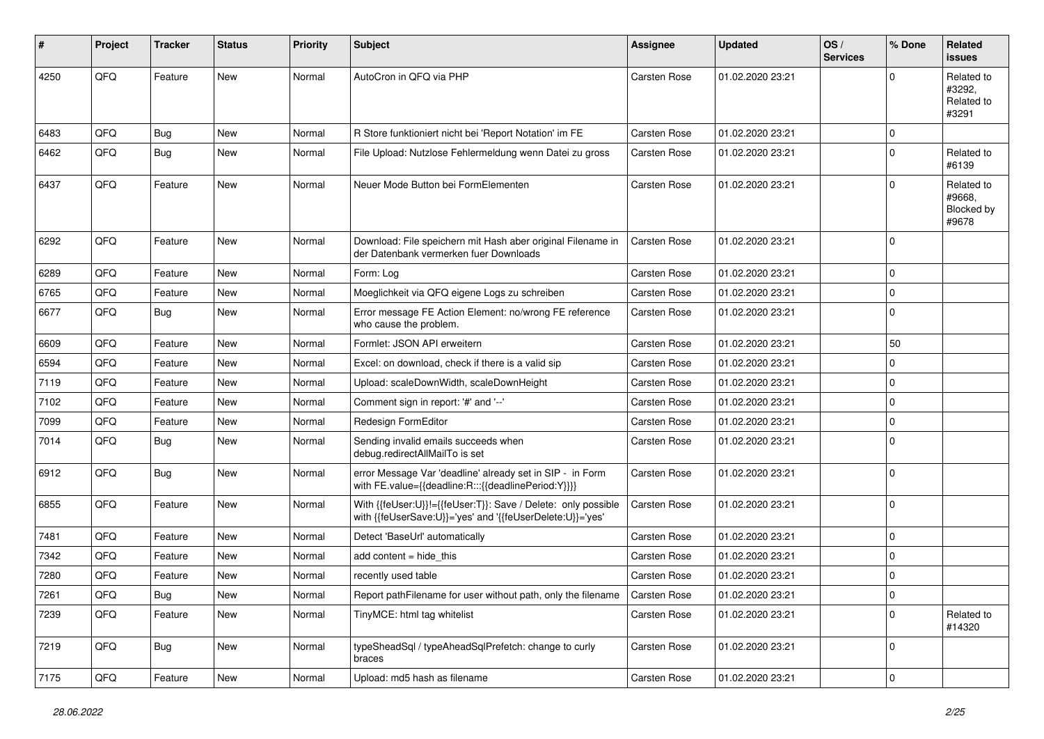| #    | Project | <b>Tracker</b> | <b>Status</b> | <b>Priority</b> | Subject                                                                                                                    | <b>Assignee</b>     | <b>Updated</b>   | OS/<br><b>Services</b> | % Done       | Related<br><b>issues</b>                    |
|------|---------|----------------|---------------|-----------------|----------------------------------------------------------------------------------------------------------------------------|---------------------|------------------|------------------------|--------------|---------------------------------------------|
| 4250 | QFQ     | Feature        | New           | Normal          | AutoCron in QFQ via PHP                                                                                                    | Carsten Rose        | 01.02.2020 23:21 |                        | $\Omega$     | Related to<br>#3292.<br>Related to<br>#3291 |
| 6483 | QFQ     | Bug            | <b>New</b>    | Normal          | R Store funktioniert nicht bei 'Report Notation' im FE                                                                     | <b>Carsten Rose</b> | 01.02.2020 23:21 |                        | $\mathbf 0$  |                                             |
| 6462 | QFQ     | Bug            | <b>New</b>    | Normal          | File Upload: Nutzlose Fehlermeldung wenn Datei zu gross                                                                    | Carsten Rose        | 01.02.2020 23:21 |                        | $\mathbf 0$  | Related to<br>#6139                         |
| 6437 | QFQ     | Feature        | <b>New</b>    | Normal          | Neuer Mode Button bei FormElementen                                                                                        | <b>Carsten Rose</b> | 01.02.2020 23:21 |                        | $\Omega$     | Related to<br>#9668.<br>Blocked by<br>#9678 |
| 6292 | QFQ     | Feature        | <b>New</b>    | Normal          | Download: File speichern mit Hash aber original Filename in<br>der Datenbank vermerken fuer Downloads                      | <b>Carsten Rose</b> | 01.02.2020 23:21 |                        | $\mathbf 0$  |                                             |
| 6289 | QFQ     | Feature        | <b>New</b>    | Normal          | Form: Log                                                                                                                  | Carsten Rose        | 01.02.2020 23:21 |                        | $\mathbf 0$  |                                             |
| 6765 | QFQ     | Feature        | <b>New</b>    | Normal          | Moeglichkeit via QFQ eigene Logs zu schreiben                                                                              | <b>Carsten Rose</b> | 01.02.2020 23:21 |                        | $\mathbf 0$  |                                             |
| 6677 | QFQ     | Bug            | New           | Normal          | Error message FE Action Element: no/wrong FE reference<br>who cause the problem.                                           | Carsten Rose        | 01.02.2020 23:21 |                        | $\mathbf 0$  |                                             |
| 6609 | QFQ     | Feature        | <b>New</b>    | Normal          | Formlet: JSON API erweitern                                                                                                | Carsten Rose        | 01.02.2020 23:21 |                        | 50           |                                             |
| 6594 | QFQ     | Feature        | New           | Normal          | Excel: on download, check if there is a valid sip                                                                          | Carsten Rose        | 01.02.2020 23:21 |                        | $\Omega$     |                                             |
| 7119 | QFQ     | Feature        | <b>New</b>    | Normal          | Upload: scaleDownWidth, scaleDownHeight                                                                                    | Carsten Rose        | 01.02.2020 23:21 |                        | $\mathbf 0$  |                                             |
| 7102 | QFQ     | Feature        | <b>New</b>    | Normal          | Comment sign in report: '#' and '--'                                                                                       | Carsten Rose        | 01.02.2020 23:21 |                        | $\mathbf 0$  |                                             |
| 7099 | QFQ     | Feature        | <b>New</b>    | Normal          | Redesign FormEditor                                                                                                        | Carsten Rose        | 01.02.2020 23:21 |                        | $\mathbf 0$  |                                             |
| 7014 | QFQ     | Bug            | New           | Normal          | Sending invalid emails succeeds when<br>debug.redirectAllMailTo is set                                                     | Carsten Rose        | 01.02.2020 23:21 |                        | $\mathbf 0$  |                                             |
| 6912 | QFQ     | Bug            | <b>New</b>    | Normal          | error Message Var 'deadline' already set in SIP - in Form<br>with FE.value={{deadline:R:::{{deadlinePeriod:Y}}}}           | Carsten Rose        | 01.02.2020 23:21 |                        | $\mathbf{0}$ |                                             |
| 6855 | QFQ     | Feature        | <b>New</b>    | Normal          | With {{feUser:U}}!={{feUser:T}}: Save / Delete: only possible<br>with {{feUserSave:U}}='yes' and '{{feUserDelete:U}}='yes' | Carsten Rose        | 01.02.2020 23:21 |                        | $\mathbf 0$  |                                             |
| 7481 | QFQ     | Feature        | <b>New</b>    | Normal          | Detect 'BaseUrl' automatically                                                                                             | Carsten Rose        | 01.02.2020 23:21 |                        | $\mathbf 0$  |                                             |
| 7342 | QFQ     | Feature        | <b>New</b>    | Normal          | add content = hide_this                                                                                                    | Carsten Rose        | 01.02.2020 23:21 |                        | $\Omega$     |                                             |
| 7280 | QFQ     | Feature        | <b>New</b>    | Normal          | recently used table                                                                                                        | Carsten Rose        | 01.02.2020 23:21 |                        | $\mathbf 0$  |                                             |
| 7261 | QFQ     | Bug            | New           | Normal          | Report path Filename for user without path, only the filename                                                              | <b>Carsten Rose</b> | 01.02.2020 23:21 |                        | 0            |                                             |
| 7239 | QFQ     | Feature        | New           | Normal          | TinyMCE: html tag whitelist                                                                                                | Carsten Rose        | 01.02.2020 23:21 |                        | $\mathbf 0$  | Related to<br>#14320                        |
| 7219 | QFQ     | <b>Bug</b>     | New           | Normal          | typeSheadSql / typeAheadSqlPrefetch: change to curly<br>braces                                                             | Carsten Rose        | 01.02.2020 23:21 |                        | $\mathbf 0$  |                                             |
| 7175 | QFQ     | Feature        | New           | Normal          | Upload: md5 hash as filename                                                                                               | Carsten Rose        | 01.02.2020 23:21 |                        | $\mathbf 0$  |                                             |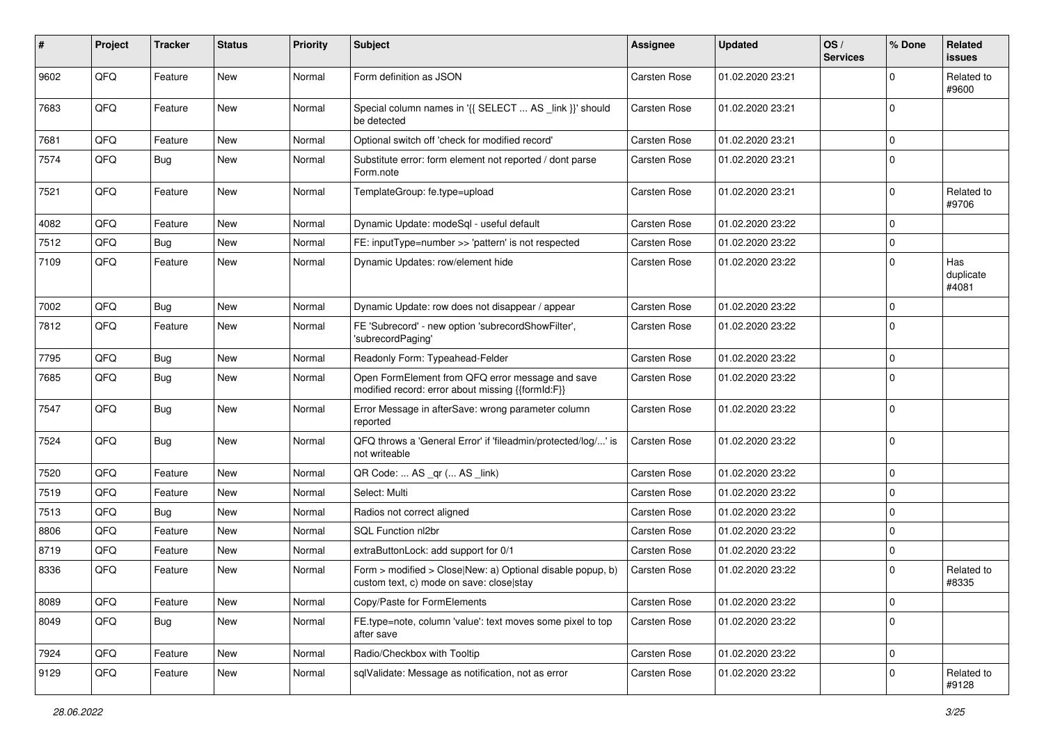| #    | Project | <b>Tracker</b> | <b>Status</b> | <b>Priority</b> | <b>Subject</b>                                                                                         | <b>Assignee</b>     | <b>Updated</b>   | OS/<br><b>Services</b> | % Done       | Related<br><b>issues</b>  |
|------|---------|----------------|---------------|-----------------|--------------------------------------------------------------------------------------------------------|---------------------|------------------|------------------------|--------------|---------------------------|
| 9602 | QFQ     | Feature        | New           | Normal          | Form definition as JSON                                                                                | <b>Carsten Rose</b> | 01.02.2020 23:21 |                        | $\Omega$     | Related to<br>#9600       |
| 7683 | QFQ     | Feature        | New           | Normal          | Special column names in '{{ SELECT  AS _link }}' should<br>be detected                                 | Carsten Rose        | 01.02.2020 23:21 |                        | $\Omega$     |                           |
| 7681 | QFQ     | Feature        | <b>New</b>    | Normal          | Optional switch off 'check for modified record'                                                        | Carsten Rose        | 01.02.2020 23:21 |                        | $\Omega$     |                           |
| 7574 | QFQ     | Bug            | <b>New</b>    | Normal          | Substitute error: form element not reported / dont parse<br>Form.note                                  | Carsten Rose        | 01.02.2020 23:21 |                        | $\Omega$     |                           |
| 7521 | QFQ     | Feature        | New           | Normal          | TemplateGroup: fe.type=upload                                                                          | Carsten Rose        | 01.02.2020 23:21 |                        | $\Omega$     | Related to<br>#9706       |
| 4082 | QFQ     | Feature        | <b>New</b>    | Normal          | Dynamic Update: modeSql - useful default                                                               | Carsten Rose        | 01.02.2020 23:22 |                        | $\mathbf 0$  |                           |
| 7512 | QFQ     | Bug            | <b>New</b>    | Normal          | FE: inputType=number >> 'pattern' is not respected                                                     | Carsten Rose        | 01.02.2020 23:22 |                        | $\mathbf{0}$ |                           |
| 7109 | QFQ     | Feature        | <b>New</b>    | Normal          | Dynamic Updates: row/element hide                                                                      | Carsten Rose        | 01.02.2020 23:22 |                        | $\Omega$     | Has<br>duplicate<br>#4081 |
| 7002 | QFQ     | Bug            | <b>New</b>    | Normal          | Dynamic Update: row does not disappear / appear                                                        | Carsten Rose        | 01.02.2020 23:22 |                        | $\Omega$     |                           |
| 7812 | QFQ     | Feature        | <b>New</b>    | Normal          | FE 'Subrecord' - new option 'subrecordShowFilter',<br>'subrecordPaging'                                | Carsten Rose        | 01.02.2020 23:22 |                        | $\Omega$     |                           |
| 7795 | QFQ     | Bug            | <b>New</b>    | Normal          | Readonly Form: Typeahead-Felder                                                                        | Carsten Rose        | 01.02.2020 23:22 |                        | $\mathbf 0$  |                           |
| 7685 | QFQ     | Bug            | New           | Normal          | Open FormElement from QFQ error message and save<br>modified record: error about missing {{formId:F}}  | <b>Carsten Rose</b> | 01.02.2020 23:22 |                        | $\Omega$     |                           |
| 7547 | QFQ     | <b>Bug</b>     | New           | Normal          | Error Message in afterSave: wrong parameter column<br>reported                                         | Carsten Rose        | 01.02.2020 23:22 |                        | $\Omega$     |                           |
| 7524 | QFQ     | <b>Bug</b>     | New           | Normal          | QFQ throws a 'General Error' if 'fileadmin/protected/log/' is<br>not writeable                         | Carsten Rose        | 01.02.2020 23:22 |                        | $\Omega$     |                           |
| 7520 | QFQ     | Feature        | New           | Normal          | QR Code:  AS _qr ( AS _link)                                                                           | Carsten Rose        | 01.02.2020 23:22 |                        | $\mathbf 0$  |                           |
| 7519 | QFQ     | Feature        | <b>New</b>    | Normal          | Select: Multi                                                                                          | Carsten Rose        | 01.02.2020 23:22 |                        | $\mathbf 0$  |                           |
| 7513 | QFQ     | <b>Bug</b>     | New           | Normal          | Radios not correct aligned                                                                             | Carsten Rose        | 01.02.2020 23:22 |                        | $\Omega$     |                           |
| 8806 | QFQ     | Feature        | <b>New</b>    | Normal          | <b>SQL Function nl2br</b>                                                                              | Carsten Rose        | 01.02.2020 23:22 |                        | $\Omega$     |                           |
| 8719 | QFQ     | Feature        | New           | Normal          | extraButtonLock: add support for 0/1                                                                   | Carsten Rose        | 01.02.2020 23:22 |                        | $\mathbf 0$  |                           |
| 8336 | QFQ     | Feature        | New           | Normal          | Form > modified > Close New: a) Optional disable popup, b)<br>custom text, c) mode on save: close stay | Carsten Rose        | 01.02.2020 23:22 |                        | $\Omega$     | Related to<br>#8335       |
| 8089 | QFQ     | Feature        | New           | Normal          | Copy/Paste for FormElements                                                                            | Carsten Rose        | 01.02.2020 23:22 |                        | $\mathbf 0$  |                           |
| 8049 | QFQ     | Bug            | New           | Normal          | FE.type=note, column 'value': text moves some pixel to top<br>after save                               | Carsten Rose        | 01.02.2020 23:22 |                        | $\mathbf 0$  |                           |
| 7924 | QFQ     | Feature        | New           | Normal          | Radio/Checkbox with Tooltip                                                                            | Carsten Rose        | 01.02.2020 23:22 |                        | $\mathbf 0$  |                           |
| 9129 | QFQ     | Feature        | New           | Normal          | sqlValidate: Message as notification, not as error                                                     | Carsten Rose        | 01.02.2020 23:22 |                        | $\mathbf 0$  | Related to<br>#9128       |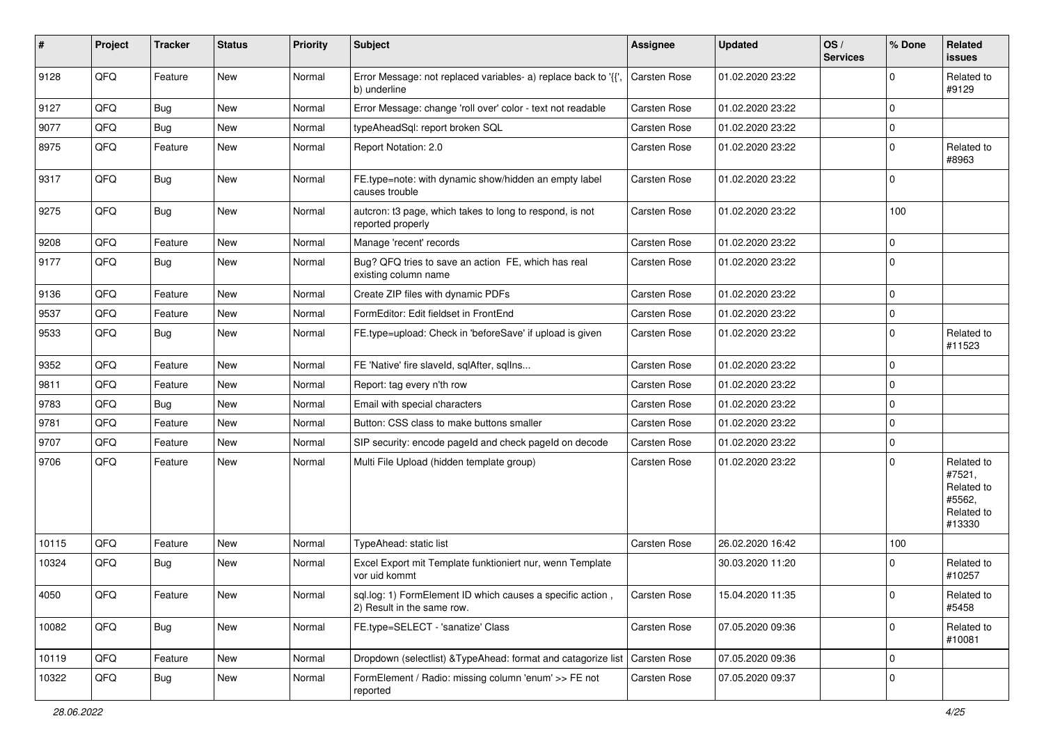| #     | Project | <b>Tracker</b> | <b>Status</b> | <b>Priority</b> | Subject                                                                                  | <b>Assignee</b> | <b>Updated</b>   | OS/<br><b>Services</b> | % Done      | Related<br><b>issues</b>                                             |
|-------|---------|----------------|---------------|-----------------|------------------------------------------------------------------------------------------|-----------------|------------------|------------------------|-------------|----------------------------------------------------------------------|
| 9128  | QFQ     | Feature        | New           | Normal          | Error Message: not replaced variables- a) replace back to '{',<br>b) underline           | Carsten Rose    | 01.02.2020 23:22 |                        | $\mathbf 0$ | Related to<br>#9129                                                  |
| 9127  | QFQ     | Bug            | <b>New</b>    | Normal          | Error Message: change 'roll over' color - text not readable                              | Carsten Rose    | 01.02.2020 23:22 |                        | $\mathbf 0$ |                                                                      |
| 9077  | QFQ     | <b>Bug</b>     | New           | Normal          | typeAheadSql: report broken SQL                                                          | Carsten Rose    | 01.02.2020 23:22 |                        | $\pmb{0}$   |                                                                      |
| 8975  | QFQ     | Feature        | New           | Normal          | Report Notation: 2.0                                                                     | Carsten Rose    | 01.02.2020 23:22 |                        | $\mathbf 0$ | Related to<br>#8963                                                  |
| 9317  | QFQ     | Bug            | New           | Normal          | FE.type=note: with dynamic show/hidden an empty label<br>causes trouble                  | Carsten Rose    | 01.02.2020 23:22 |                        | $\mathbf 0$ |                                                                      |
| 9275  | QFQ     | Bug            | <b>New</b>    | Normal          | autcron: t3 page, which takes to long to respond, is not<br>reported properly            | Carsten Rose    | 01.02.2020 23:22 |                        | 100         |                                                                      |
| 9208  | QFQ     | Feature        | <b>New</b>    | Normal          | Manage 'recent' records                                                                  | Carsten Rose    | 01.02.2020 23:22 |                        | $\mathbf 0$ |                                                                      |
| 9177  | QFQ     | <b>Bug</b>     | <b>New</b>    | Normal          | Bug? QFQ tries to save an action FE, which has real<br>existing column name              | Carsten Rose    | 01.02.2020 23:22 |                        | $\mathbf 0$ |                                                                      |
| 9136  | QFQ     | Feature        | <b>New</b>    | Normal          | Create ZIP files with dynamic PDFs                                                       | Carsten Rose    | 01.02.2020 23:22 |                        | $\mathbf 0$ |                                                                      |
| 9537  | QFQ     | Feature        | <b>New</b>    | Normal          | FormEditor: Edit fieldset in FrontEnd                                                    | Carsten Rose    | 01.02.2020 23:22 |                        | $\mathbf 0$ |                                                                      |
| 9533  | QFQ     | Bug            | New           | Normal          | FE.type=upload: Check in 'beforeSave' if upload is given                                 | Carsten Rose    | 01.02.2020 23:22 |                        | $\mathbf 0$ | Related to<br>#11523                                                 |
| 9352  | QFQ     | Feature        | <b>New</b>    | Normal          | FE 'Native' fire slaveld, sqlAfter, sqlIns                                               | Carsten Rose    | 01.02.2020 23:22 |                        | $\mathbf 0$ |                                                                      |
| 9811  | QFQ     | Feature        | New           | Normal          | Report: tag every n'th row                                                               | Carsten Rose    | 01.02.2020 23:22 |                        | $\mathbf 0$ |                                                                      |
| 9783  | QFQ     | Bug            | New           | Normal          | Email with special characters                                                            | Carsten Rose    | 01.02.2020 23:22 |                        | $\mathbf 0$ |                                                                      |
| 9781  | QFQ     | Feature        | New           | Normal          | Button: CSS class to make buttons smaller                                                | Carsten Rose    | 01.02.2020 23:22 |                        | $\mathbf 0$ |                                                                      |
| 9707  | QFQ     | Feature        | New           | Normal          | SIP security: encode pageId and check pageId on decode                                   | Carsten Rose    | 01.02.2020 23:22 |                        | $\mathbf 0$ |                                                                      |
| 9706  | QFQ     | Feature        | New           | Normal          | Multi File Upload (hidden template group)                                                | Carsten Rose    | 01.02.2020 23:22 |                        | $\mathbf 0$ | Related to<br>#7521,<br>Related to<br>#5562,<br>Related to<br>#13330 |
| 10115 | QFQ     | Feature        | <b>New</b>    | Normal          | TypeAhead: static list                                                                   | Carsten Rose    | 26.02.2020 16:42 |                        | 100         |                                                                      |
| 10324 | QFQ     | Bug            | <b>New</b>    | Normal          | Excel Export mit Template funktioniert nur, wenn Template<br>vor uid kommt               |                 | 30.03.2020 11:20 |                        | $\mathbf 0$ | Related to<br>#10257                                                 |
| 4050  | QFQ     | Feature        | New           | Normal          | sql.log: 1) FormElement ID which causes a specific action,<br>2) Result in the same row. | Carsten Rose    | 15.04.2020 11:35 |                        | 0           | Related to<br>#5458                                                  |
| 10082 | QFQ     | Bug            | New           | Normal          | FE.type=SELECT - 'sanatize' Class                                                        | Carsten Rose    | 07.05.2020 09:36 |                        | $\mathbf 0$ | Related to<br>#10081                                                 |
| 10119 | QFQ     | Feature        | New           | Normal          | Dropdown (selectlist) & TypeAhead: format and catagorize list                            | Carsten Rose    | 07.05.2020 09:36 |                        | $\mathsf 0$ |                                                                      |
| 10322 | QFQ     | Bug            | New           | Normal          | FormElement / Radio: missing column 'enum' >> FE not<br>reported                         | Carsten Rose    | 07.05.2020 09:37 |                        | $\mathbf 0$ |                                                                      |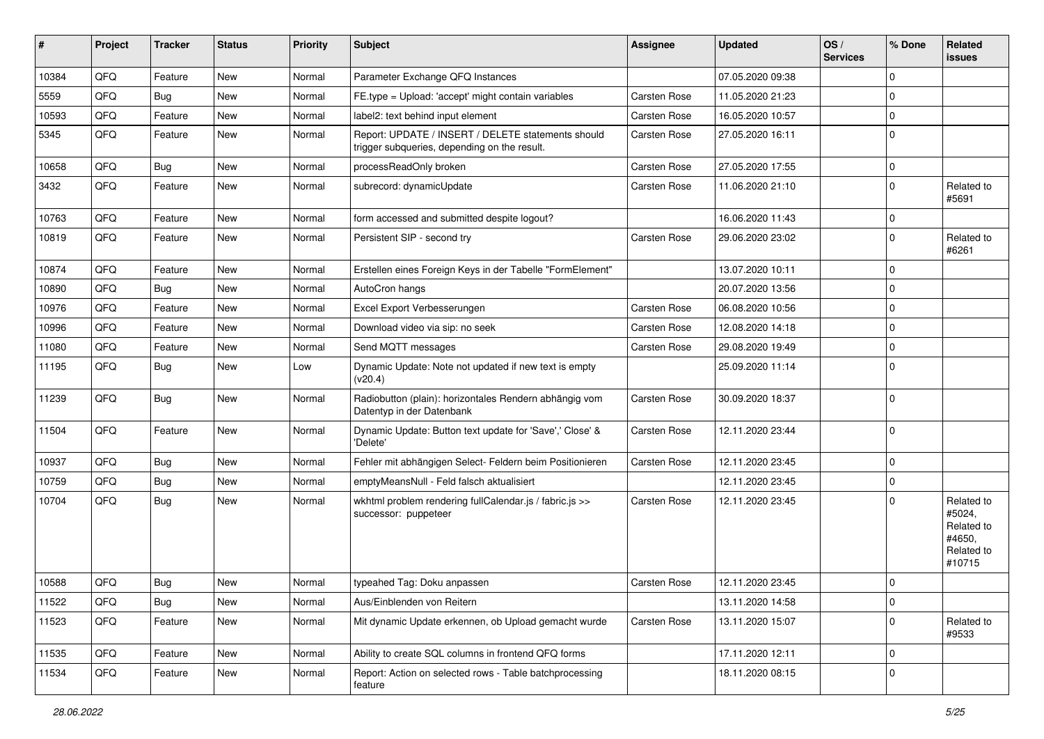| #     | Project | <b>Tracker</b> | <b>Status</b> | <b>Priority</b> | <b>Subject</b>                                                                                     | <b>Assignee</b> | <b>Updated</b>   | OS/<br><b>Services</b> | % Done         | Related<br><b>issues</b>                                             |
|-------|---------|----------------|---------------|-----------------|----------------------------------------------------------------------------------------------------|-----------------|------------------|------------------------|----------------|----------------------------------------------------------------------|
| 10384 | QFQ     | Feature        | New           | Normal          | Parameter Exchange QFQ Instances                                                                   |                 | 07.05.2020 09:38 |                        | $\Omega$       |                                                                      |
| 5559  | QFQ     | <b>Bug</b>     | New           | Normal          | FE.type = Upload: 'accept' might contain variables                                                 | Carsten Rose    | 11.05.2020 21:23 |                        | $\mathbf 0$    |                                                                      |
| 10593 | QFQ     | Feature        | New           | Normal          | label2: text behind input element                                                                  | Carsten Rose    | 16.05.2020 10:57 |                        | $\mathbf 0$    |                                                                      |
| 5345  | QFQ     | Feature        | New           | Normal          | Report: UPDATE / INSERT / DELETE statements should<br>trigger subqueries, depending on the result. | Carsten Rose    | 27.05.2020 16:11 |                        | $\Omega$       |                                                                      |
| 10658 | QFQ     | <b>Bug</b>     | New           | Normal          | processReadOnly broken                                                                             | Carsten Rose    | 27.05.2020 17:55 |                        | $\mathbf 0$    |                                                                      |
| 3432  | QFQ     | Feature        | <b>New</b>    | Normal          | subrecord: dynamicUpdate                                                                           | Carsten Rose    | 11.06.2020 21:10 |                        | $\mathbf 0$    | Related to<br>#5691                                                  |
| 10763 | QFQ     | Feature        | <b>New</b>    | Normal          | form accessed and submitted despite logout?                                                        |                 | 16.06.2020 11:43 |                        | $\mathbf 0$    |                                                                      |
| 10819 | QFQ     | Feature        | New           | Normal          | Persistent SIP - second try                                                                        | Carsten Rose    | 29.06.2020 23:02 |                        | $\overline{0}$ | Related to<br>#6261                                                  |
| 10874 | QFQ     | Feature        | New           | Normal          | Erstellen eines Foreign Keys in der Tabelle "FormElement"                                          |                 | 13.07.2020 10:11 |                        | $\mathbf 0$    |                                                                      |
| 10890 | QFQ     | Bug            | New           | Normal          | AutoCron hangs                                                                                     |                 | 20.07.2020 13:56 |                        | $\mathbf 0$    |                                                                      |
| 10976 | QFQ     | Feature        | New           | Normal          | Excel Export Verbesserungen                                                                        | Carsten Rose    | 06.08.2020 10:56 |                        | $\mathbf 0$    |                                                                      |
| 10996 | QFQ     | Feature        | New           | Normal          | Download video via sip: no seek                                                                    | Carsten Rose    | 12.08.2020 14:18 |                        | $\mathbf 0$    |                                                                      |
| 11080 | QFQ     | Feature        | <b>New</b>    | Normal          | Send MQTT messages                                                                                 | Carsten Rose    | 29.08.2020 19:49 |                        | $\mathbf 0$    |                                                                      |
| 11195 | QFQ     | <b>Bug</b>     | New           | Low             | Dynamic Update: Note not updated if new text is empty<br>(v20.4)                                   |                 | 25.09.2020 11:14 |                        | $\Omega$       |                                                                      |
| 11239 | QFQ     | Bug            | New           | Normal          | Radiobutton (plain): horizontales Rendern abhängig vom<br>Datentyp in der Datenbank                | Carsten Rose    | 30.09.2020 18:37 |                        | $\mathbf 0$    |                                                                      |
| 11504 | QFQ     | Feature        | New           | Normal          | Dynamic Update: Button text update for 'Save',' Close' &<br>'Delete'                               | Carsten Rose    | 12.11.2020 23:44 |                        | $\Omega$       |                                                                      |
| 10937 | QFQ     | Bug            | New           | Normal          | Fehler mit abhängigen Select- Feldern beim Positionieren                                           | Carsten Rose    | 12.11.2020 23:45 |                        | $\mathbf 0$    |                                                                      |
| 10759 | QFQ     | Bug            | New           | Normal          | emptyMeansNull - Feld falsch aktualisiert                                                          |                 | 12.11.2020 23:45 |                        | 0              |                                                                      |
| 10704 | QFQ     | Bug            | New           | Normal          | wkhtml problem rendering fullCalendar.js / fabric.js >><br>successor: puppeteer                    | Carsten Rose    | 12.11.2020 23:45 |                        | $\Omega$       | Related to<br>#5024,<br>Related to<br>#4650,<br>Related to<br>#10715 |
| 10588 | QFQ     | <b>Bug</b>     | New           | Normal          | typeahed Tag: Doku anpassen                                                                        | Carsten Rose    | 12.11.2020 23:45 |                        | 0              |                                                                      |
| 11522 | QFQ     | Bug            | New           | Normal          | Aus/Einblenden von Reitern                                                                         |                 | 13.11.2020 14:58 |                        | $\mathbf 0$    |                                                                      |
| 11523 | QFQ     | Feature        | New           | Normal          | Mit dynamic Update erkennen, ob Upload gemacht wurde                                               | Carsten Rose    | 13.11.2020 15:07 |                        | $\mathbf 0$    | Related to<br>#9533                                                  |
| 11535 | QFQ     | Feature        | New           | Normal          | Ability to create SQL columns in frontend QFQ forms                                                |                 | 17.11.2020 12:11 |                        | 0              |                                                                      |
| 11534 | QFQ     | Feature        | New           | Normal          | Report: Action on selected rows - Table batchprocessing<br>feature                                 |                 | 18.11.2020 08:15 |                        | $\mathbf 0$    |                                                                      |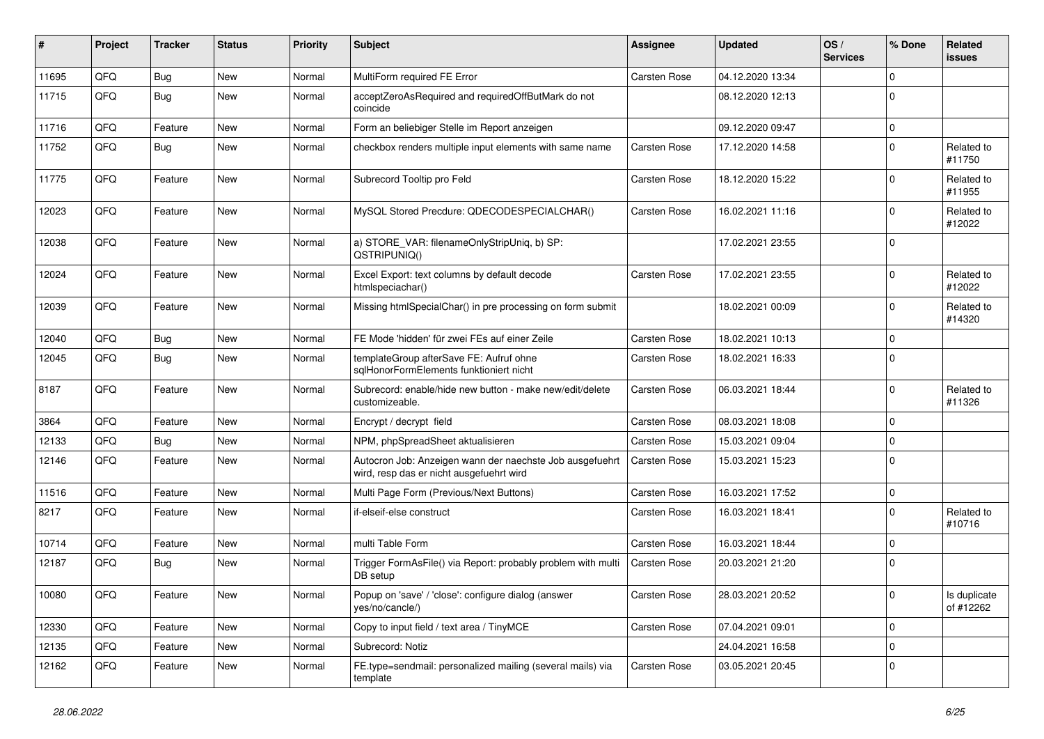| ∦     | Project | <b>Tracker</b> | <b>Status</b> | <b>Priority</b> | Subject                                                                                              | <b>Assignee</b>     | <b>Updated</b>   | OS/<br><b>Services</b> | % Done      | Related<br><b>issues</b>  |
|-------|---------|----------------|---------------|-----------------|------------------------------------------------------------------------------------------------------|---------------------|------------------|------------------------|-------------|---------------------------|
| 11695 | QFQ     | Bug            | New           | Normal          | MultiForm required FE Error                                                                          | Carsten Rose        | 04.12.2020 13:34 |                        | $\mathbf 0$ |                           |
| 11715 | QFQ     | Bug            | <b>New</b>    | Normal          | acceptZeroAsRequired and requiredOffButMark do not<br>coincide                                       |                     | 08.12.2020 12:13 |                        | $\Omega$    |                           |
| 11716 | QFQ     | Feature        | <b>New</b>    | Normal          | Form an beliebiger Stelle im Report anzeigen                                                         |                     | 09.12.2020 09:47 |                        | $\pmb{0}$   |                           |
| 11752 | QFQ     | Bug            | <b>New</b>    | Normal          | checkbox renders multiple input elements with same name                                              | Carsten Rose        | 17.12.2020 14:58 |                        | $\mathbf 0$ | Related to<br>#11750      |
| 11775 | QFQ     | Feature        | New           | Normal          | Subrecord Tooltip pro Feld                                                                           | Carsten Rose        | 18.12.2020 15:22 |                        | $\mathbf 0$ | Related to<br>#11955      |
| 12023 | QFQ     | Feature        | <b>New</b>    | Normal          | MySQL Stored Precdure: QDECODESPECIALCHAR()                                                          | Carsten Rose        | 16.02.2021 11:16 |                        | $\Omega$    | Related to<br>#12022      |
| 12038 | QFQ     | Feature        | <b>New</b>    | Normal          | a) STORE_VAR: filenameOnlyStripUniq, b) SP:<br>QSTRIPUNIQ()                                          |                     | 17.02.2021 23:55 |                        | $\mathbf 0$ |                           |
| 12024 | QFQ     | Feature        | <b>New</b>    | Normal          | Excel Export: text columns by default decode<br>htmlspeciachar()                                     | Carsten Rose        | 17.02.2021 23:55 |                        | $\Omega$    | Related to<br>#12022      |
| 12039 | QFQ     | Feature        | New           | Normal          | Missing htmlSpecialChar() in pre processing on form submit                                           |                     | 18.02.2021 00:09 |                        | $\mathbf 0$ | Related to<br>#14320      |
| 12040 | QFQ     | <b>Bug</b>     | <b>New</b>    | Normal          | FE Mode 'hidden' für zwei FEs auf einer Zeile                                                        | <b>Carsten Rose</b> | 18.02.2021 10:13 |                        | $\mathbf 0$ |                           |
| 12045 | QFQ     | <b>Bug</b>     | <b>New</b>    | Normal          | templateGroup afterSave FE: Aufruf ohne<br>sglHonorFormElements funktioniert nicht                   | <b>Carsten Rose</b> | 18.02.2021 16:33 |                        | $\mathbf 0$ |                           |
| 8187  | QFQ     | Feature        | <b>New</b>    | Normal          | Subrecord: enable/hide new button - make new/edit/delete<br>customizeable.                           | Carsten Rose        | 06.03.2021 18:44 |                        | $\mathbf 0$ | Related to<br>#11326      |
| 3864  | QFQ     | Feature        | <b>New</b>    | Normal          | Encrypt / decrypt field                                                                              | Carsten Rose        | 08.03.2021 18:08 |                        | $\mathbf 0$ |                           |
| 12133 | QFQ     | Bug            | New           | Normal          | NPM, phpSpreadSheet aktualisieren                                                                    | Carsten Rose        | 15.03.2021 09:04 |                        | $\mathbf 0$ |                           |
| 12146 | QFQ     | Feature        | New           | Normal          | Autocron Job: Anzeigen wann der naechste Job ausgefuehrt<br>wird, resp das er nicht ausgefuehrt wird | Carsten Rose        | 15.03.2021 15:23 |                        | $\Omega$    |                           |
| 11516 | QFQ     | Feature        | <b>New</b>    | Normal          | Multi Page Form (Previous/Next Buttons)                                                              | Carsten Rose        | 16.03.2021 17:52 |                        | $\mathbf 0$ |                           |
| 8217  | QFQ     | Feature        | New           | Normal          | if-elseif-else construct                                                                             | Carsten Rose        | 16.03.2021 18:41 |                        | $\mathbf 0$ | Related to<br>#10716      |
| 10714 | QFQ     | Feature        | <b>New</b>    | Normal          | multi Table Form                                                                                     | Carsten Rose        | 16.03.2021 18:44 |                        | $\mathbf 0$ |                           |
| 12187 | QFQ     | Bug            | <b>New</b>    | Normal          | Trigger FormAsFile() via Report: probably problem with multi<br>DB setup                             | Carsten Rose        | 20.03.2021 21:20 |                        | $\mathbf 0$ |                           |
| 10080 | QFQ     | Feature        | New           | Normal          | Popup on 'save' / 'close': configure dialog (answer<br>yes/no/cancle/)                               | Carsten Rose        | 28.03.2021 20:52 |                        | 0           | Is duplicate<br>of #12262 |
| 12330 | QFQ     | Feature        | New           | Normal          | Copy to input field / text area / TinyMCE                                                            | Carsten Rose        | 07.04.2021 09:01 |                        | $\mathbf 0$ |                           |
| 12135 | QFQ     | Feature        | New           | Normal          | Subrecord: Notiz                                                                                     |                     | 24.04.2021 16:58 |                        | $\mathbf 0$ |                           |
| 12162 | QFQ     | Feature        | New           | Normal          | FE.type=sendmail: personalized mailing (several mails) via<br>template                               | Carsten Rose        | 03.05.2021 20:45 |                        | $\mathbf 0$ |                           |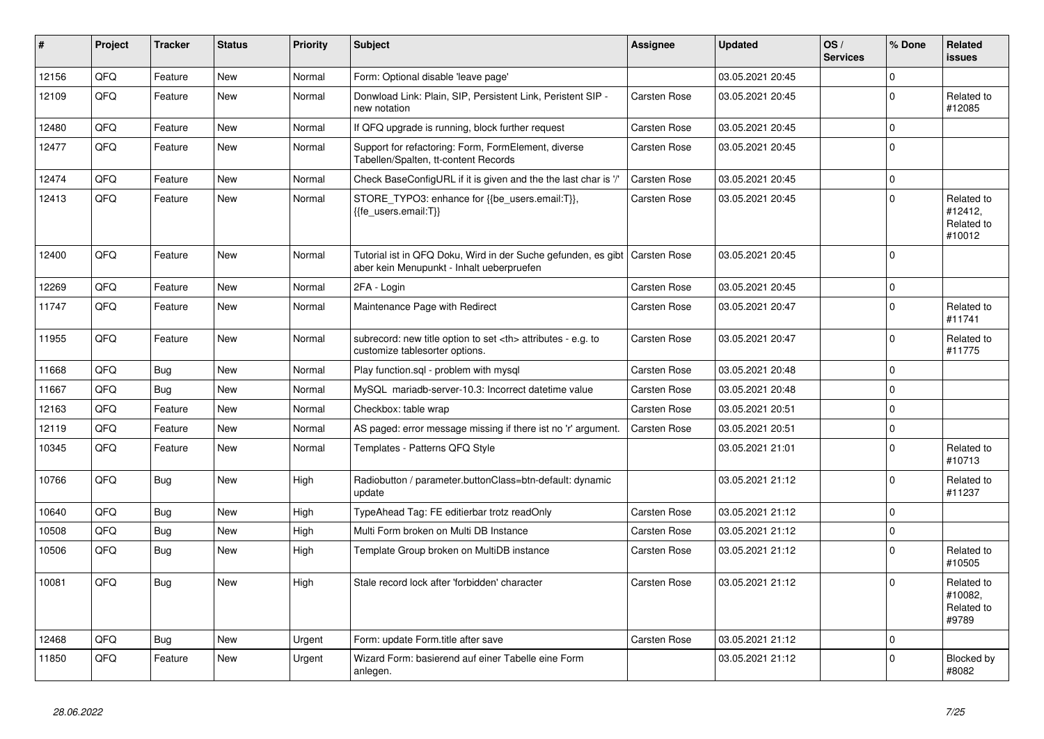| #     | Project | <b>Tracker</b> | <b>Status</b> | <b>Priority</b> | <b>Subject</b>                                                                                             | Assignee                                               | <b>Updated</b>   | OS/<br><b>Services</b> | % Done       | Related<br><b>issues</b>                      |                      |
|-------|---------|----------------|---------------|-----------------|------------------------------------------------------------------------------------------------------------|--------------------------------------------------------|------------------|------------------------|--------------|-----------------------------------------------|----------------------|
| 12156 | QFQ     | Feature        | <b>New</b>    | Normal          | Form: Optional disable 'leave page'                                                                        |                                                        | 03.05.2021 20:45 |                        | $\Omega$     |                                               |                      |
| 12109 | QFQ     | Feature        | <b>New</b>    | Normal          | Donwload Link: Plain, SIP, Persistent Link, Peristent SIP -<br>new notation                                | Carsten Rose                                           | 03.05.2021 20:45 |                        | $\Omega$     | Related to<br>#12085                          |                      |
| 12480 | QFQ     | Feature        | <b>New</b>    | Normal          | If QFQ upgrade is running, block further request                                                           | Carsten Rose                                           | 03.05.2021 20:45 |                        | $\mathbf{0}$ |                                               |                      |
| 12477 | QFQ     | Feature        | New           | Normal          | Support for refactoring: Form, FormElement, diverse<br>Tabellen/Spalten, tt-content Records                | Carsten Rose                                           | 03.05.2021 20:45 |                        | $\Omega$     |                                               |                      |
| 12474 | QFQ     | Feature        | <b>New</b>    | Normal          | Check BaseConfigURL if it is given and the the last char is '/'                                            | Carsten Rose                                           | 03.05.2021 20:45 |                        | $\pmb{0}$    |                                               |                      |
| 12413 | QFQ     | Feature        | <b>New</b>    | Normal          | STORE_TYPO3: enhance for {{be_users.email:T}},<br>{{fe users.email:T}}                                     | Carsten Rose                                           | 03.05.2021 20:45 |                        | $\Omega$     | Related to<br>#12412,<br>Related to<br>#10012 |                      |
| 12400 | QFQ     | Feature        | <b>New</b>    | Normal          | Tutorial ist in QFQ Doku, Wird in der Suche gefunden, es gibt<br>aber kein Menupunkt - Inhalt ueberpruefen | <b>Carsten Rose</b>                                    | 03.05.2021 20:45 |                        | $\Omega$     |                                               |                      |
| 12269 | QFQ     | Feature        | <b>New</b>    | Normal          | 2FA - Login                                                                                                | Carsten Rose                                           | 03.05.2021 20:45 |                        | $\mathbf{0}$ |                                               |                      |
| 11747 | QFQ     | Feature        | New           | Normal          | Maintenance Page with Redirect                                                                             | Carsten Rose                                           | 03.05.2021 20:47 |                        | $\mathbf{0}$ | Related to<br>#11741                          |                      |
| 11955 | QFQ     | Feature        | <b>New</b>    | Normal          | subrecord: new title option to set <th> attributes - e.g. to<br/>customize tablesorter options.</th>       | attributes - e.g. to<br>customize tablesorter options. | Carsten Rose     | 03.05.2021 20:47       |              | $\Omega$                                      | Related to<br>#11775 |
| 11668 | QFQ     | Bug            | <b>New</b>    | Normal          | Play function.sql - problem with mysql                                                                     | Carsten Rose                                           | 03.05.2021 20:48 |                        | $\mathbf{0}$ |                                               |                      |
| 11667 | QFQ     | Bug            | <b>New</b>    | Normal          | MySQL mariadb-server-10.3: Incorrect datetime value                                                        | Carsten Rose                                           | 03.05.2021 20:48 |                        | $\mathsf 0$  |                                               |                      |
| 12163 | QFQ     | Feature        | <b>New</b>    | Normal          | Checkbox: table wrap                                                                                       | Carsten Rose                                           | 03.05.2021 20:51 |                        | $\mathbf 0$  |                                               |                      |
| 12119 | QFQ     | Feature        | <b>New</b>    | Normal          | AS paged: error message missing if there ist no 'r' argument.                                              | <b>Carsten Rose</b>                                    | 03.05.2021 20:51 |                        | $\mathbf 0$  |                                               |                      |
| 10345 | QFQ     | Feature        | <b>New</b>    | Normal          | Templates - Patterns QFQ Style                                                                             |                                                        | 03.05.2021 21:01 |                        | $\Omega$     | Related to<br>#10713                          |                      |
| 10766 | QFQ     | <b>Bug</b>     | New           | High            | Radiobutton / parameter.buttonClass=btn-default: dynamic<br>update                                         |                                                        | 03.05.2021 21:12 |                        | $\mathbf{0}$ | Related to<br>#11237                          |                      |
| 10640 | QFQ     | <b>Bug</b>     | <b>New</b>    | High            | TypeAhead Tag: FE editierbar trotz readOnly                                                                | Carsten Rose                                           | 03.05.2021 21:12 |                        | $\Omega$     |                                               |                      |
| 10508 | QFQ     | <b>Bug</b>     | <b>New</b>    | High            | Multi Form broken on Multi DB Instance                                                                     | Carsten Rose                                           | 03.05.2021 21:12 |                        | $\mathbf{0}$ |                                               |                      |
| 10506 | QFQ     | Bug            | <b>New</b>    | High            | Template Group broken on MultiDB instance                                                                  | Carsten Rose                                           | 03.05.2021 21:12 |                        | $\Omega$     | Related to<br>#10505                          |                      |
| 10081 | QFQ     | Bug            | <b>New</b>    | High            | Stale record lock after 'forbidden' character                                                              | Carsten Rose                                           | 03.05.2021 21:12 |                        | $\mathbf 0$  | Related to<br>#10082.<br>Related to<br>#9789  |                      |
| 12468 | QFQ     | Bug            | <b>New</b>    | Urgent          | Form: update Form.title after save                                                                         | Carsten Rose                                           | 03.05.2021 21:12 |                        | $\pmb{0}$    |                                               |                      |
| 11850 | QFQ     | Feature        | <b>New</b>    | Urgent          | Wizard Form: basierend auf einer Tabelle eine Form<br>anlegen.                                             |                                                        | 03.05.2021 21:12 |                        | $\Omega$     | Blocked by<br>#8082                           |                      |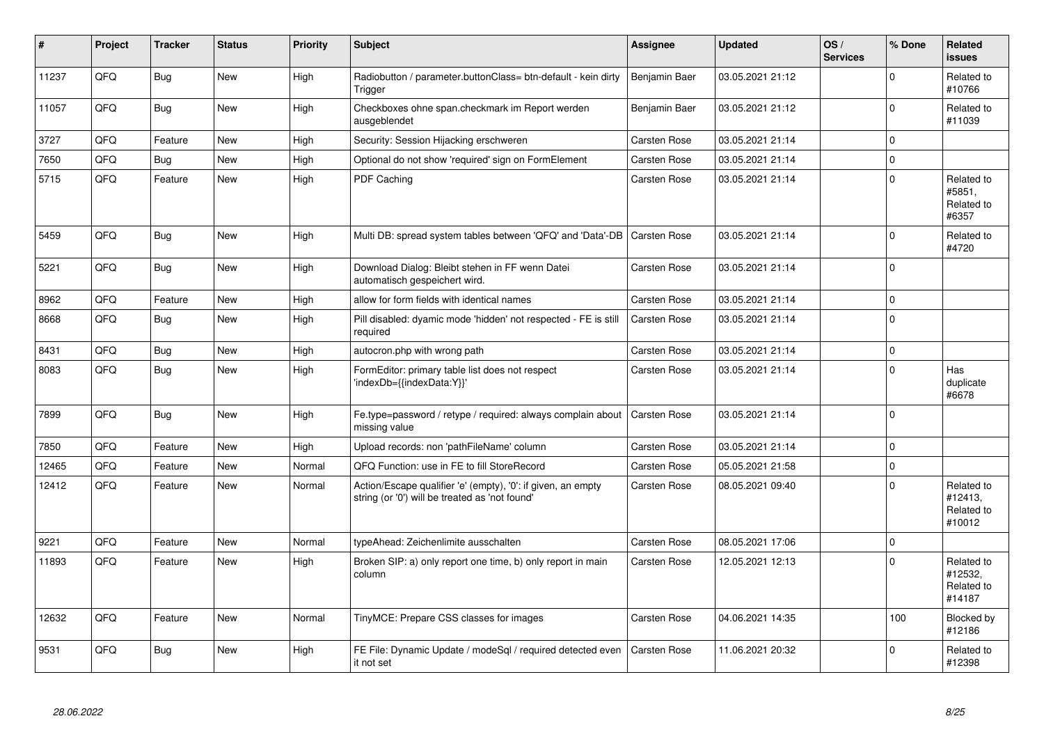| #     | Project | <b>Tracker</b> | <b>Status</b> | <b>Priority</b> | <b>Subject</b>                                                                                                 | <b>Assignee</b>     | <b>Updated</b>   | OS/<br><b>Services</b> | % Done      | Related<br><b>issues</b>                      |
|-------|---------|----------------|---------------|-----------------|----------------------------------------------------------------------------------------------------------------|---------------------|------------------|------------------------|-------------|-----------------------------------------------|
| 11237 | QFQ     | Bug            | <b>New</b>    | High            | Radiobutton / parameter.buttonClass= btn-default - kein dirty<br>Trigger                                       | Benjamin Baer       | 03.05.2021 21:12 |                        | $\Omega$    | Related to<br>#10766                          |
| 11057 | QFQ     | Bug            | New           | High            | Checkboxes ohne span.checkmark im Report werden<br>ausgeblendet                                                | Benjamin Baer       | 03.05.2021 21:12 |                        | $\Omega$    | Related to<br>#11039                          |
| 3727  | QFQ     | Feature        | <b>New</b>    | High            | Security: Session Hijacking erschweren                                                                         | Carsten Rose        | 03.05.2021 21:14 |                        | 0           |                                               |
| 7650  | QFQ     | Bug            | <b>New</b>    | High            | Optional do not show 'required' sign on FormElement                                                            | Carsten Rose        | 03.05.2021 21:14 |                        | $\mathbf 0$ |                                               |
| 5715  | QFQ     | Feature        | New           | High            | <b>PDF Caching</b>                                                                                             | Carsten Rose        | 03.05.2021 21:14 |                        | $\Omega$    | Related to<br>#5851,<br>Related to<br>#6357   |
| 5459  | QFQ     | Bug            | <b>New</b>    | High            | Multi DB: spread system tables between 'QFQ' and 'Data'-DB                                                     | <b>Carsten Rose</b> | 03.05.2021 21:14 |                        | $\Omega$    | Related to<br>#4720                           |
| 5221  | QFQ     | Bug            | <b>New</b>    | High            | Download Dialog: Bleibt stehen in FF wenn Datei<br>automatisch gespeichert wird.                               | Carsten Rose        | 03.05.2021 21:14 |                        | $\mathbf 0$ |                                               |
| 8962  | QFQ     | Feature        | <b>New</b>    | High            | allow for form fields with identical names                                                                     | <b>Carsten Rose</b> | 03.05.2021 21:14 |                        | $\Omega$    |                                               |
| 8668  | QFQ     | Bug            | New           | High            | Pill disabled: dyamic mode 'hidden' not respected - FE is still<br>required                                    | Carsten Rose        | 03.05.2021 21:14 |                        | $\mathbf 0$ |                                               |
| 8431  | QFQ     | <b>Bug</b>     | <b>New</b>    | High            | autocron.php with wrong path                                                                                   | <b>Carsten Rose</b> | 03.05.2021 21:14 |                        | $\Omega$    |                                               |
| 8083  | QFQ     | Bug            | New           | High            | FormEditor: primary table list does not respect<br>'indexDb={{indexData:Y}}'                                   | Carsten Rose        | 03.05.2021 21:14 |                        | $\Omega$    | Has<br>duplicate<br>#6678                     |
| 7899  | QFQ     | Bug            | <b>New</b>    | High            | Fe.type=password / retype / required: always complain about<br>missing value                                   | <b>Carsten Rose</b> | 03.05.2021 21:14 |                        | $\mathbf 0$ |                                               |
| 7850  | QFQ     | Feature        | <b>New</b>    | High            | Upload records: non 'pathFileName' column                                                                      | Carsten Rose        | 03.05.2021 21:14 |                        | $\mathbf 0$ |                                               |
| 12465 | QFQ     | Feature        | <b>New</b>    | Normal          | QFQ Function: use in FE to fill StoreRecord                                                                    | <b>Carsten Rose</b> | 05.05.2021 21:58 |                        | $\pmb{0}$   |                                               |
| 12412 | QFQ     | Feature        | <b>New</b>    | Normal          | Action/Escape qualifier 'e' (empty), '0': if given, an empty<br>string (or '0') will be treated as 'not found' | Carsten Rose        | 08.05.2021 09:40 |                        | $\Omega$    | Related to<br>#12413,<br>Related to<br>#10012 |
| 9221  | QFQ     | Feature        | <b>New</b>    | Normal          | typeAhead: Zeichenlimite ausschalten                                                                           | <b>Carsten Rose</b> | 08.05.2021 17:06 |                        | $\mathbf 0$ |                                               |
| 11893 | QFQ     | Feature        | <b>New</b>    | High            | Broken SIP: a) only report one time, b) only report in main<br>column                                          | <b>Carsten Rose</b> | 12.05.2021 12:13 |                        | $\Omega$    | Related to<br>#12532,<br>Related to<br>#14187 |
| 12632 | QFQ     | Feature        | New           | Normal          | TinyMCE: Prepare CSS classes for images                                                                        | Carsten Rose        | 04.06.2021 14:35 |                        | 100         | Blocked by<br>#12186                          |
| 9531  | QFQ     | Bug            | <b>New</b>    | High            | FE File: Dynamic Update / modeSql / required detected even<br>it not set                                       | Carsten Rose        | 11.06.2021 20:32 |                        | $\Omega$    | Related to<br>#12398                          |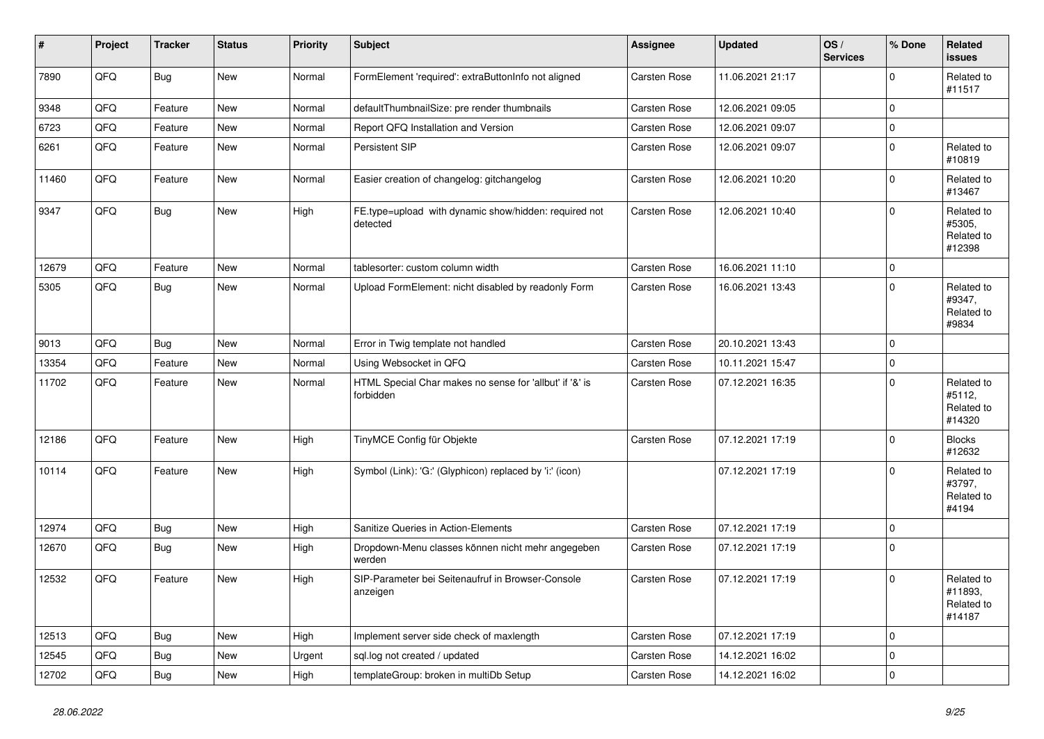| $\vert$ # | Project | <b>Tracker</b> | <b>Status</b> | <b>Priority</b> | <b>Subject</b>                                                       | Assignee            | <b>Updated</b>   | OS/<br><b>Services</b> | % Done      | <b>Related</b><br><b>issues</b>               |
|-----------|---------|----------------|---------------|-----------------|----------------------------------------------------------------------|---------------------|------------------|------------------------|-------------|-----------------------------------------------|
| 7890      | QFQ     | <b>Bug</b>     | <b>New</b>    | Normal          | FormElement 'required': extraButtonInfo not aligned                  | Carsten Rose        | 11.06.2021 21:17 |                        | $\Omega$    | Related to<br>#11517                          |
| 9348      | QFQ     | Feature        | New           | Normal          | defaultThumbnailSize: pre render thumbnails                          | Carsten Rose        | 12.06.2021 09:05 |                        | 0           |                                               |
| 6723      | QFQ     | Feature        | New           | Normal          | Report QFQ Installation and Version                                  | Carsten Rose        | 12.06.2021 09:07 |                        | $\pmb{0}$   |                                               |
| 6261      | QFQ     | Feature        | <b>New</b>    | Normal          | Persistent SIP                                                       | Carsten Rose        | 12.06.2021 09:07 |                        | $\mathbf 0$ | Related to<br>#10819                          |
| 11460     | QFQ     | Feature        | <b>New</b>    | Normal          | Easier creation of changelog: gitchangelog                           | <b>Carsten Rose</b> | 12.06.2021 10:20 |                        | $\mathbf 0$ | Related to<br>#13467                          |
| 9347      | QFQ     | Bug            | New           | High            | FE.type=upload with dynamic show/hidden: required not<br>detected    | Carsten Rose        | 12.06.2021 10:40 |                        | $\Omega$    | Related to<br>#5305.<br>Related to<br>#12398  |
| 12679     | QFQ     | Feature        | <b>New</b>    | Normal          | tablesorter: custom column width                                     | <b>Carsten Rose</b> | 16.06.2021 11:10 |                        | $\mathsf 0$ |                                               |
| 5305      | QFQ     | Bug            | <b>New</b>    | Normal          | Upload FormElement: nicht disabled by readonly Form                  | Carsten Rose        | 16.06.2021 13:43 |                        | $\mathbf 0$ | Related to<br>#9347,<br>Related to<br>#9834   |
| 9013      | QFQ     | Bug            | <b>New</b>    | Normal          | Error in Twig template not handled                                   | Carsten Rose        | 20.10.2021 13:43 |                        | 0           |                                               |
| 13354     | QFQ     | Feature        | <b>New</b>    | Normal          | Using Websocket in QFQ                                               | <b>Carsten Rose</b> | 10.11.2021 15:47 |                        | $\mathbf 0$ |                                               |
| 11702     | QFQ     | Feature        | <b>New</b>    | Normal          | HTML Special Char makes no sense for 'allbut' if '&' is<br>forbidden | Carsten Rose        | 07.12.2021 16:35 |                        | $\mathbf 0$ | Related to<br>#5112,<br>Related to<br>#14320  |
| 12186     | QFQ     | Feature        | <b>New</b>    | High            | TinyMCE Config für Objekte                                           | Carsten Rose        | 07.12.2021 17:19 |                        | $\pmb{0}$   | <b>Blocks</b><br>#12632                       |
| 10114     | QFQ     | Feature        | <b>New</b>    | High            | Symbol (Link): 'G:' (Glyphicon) replaced by 'i:' (icon)              |                     | 07.12.2021 17:19 |                        | $\Omega$    | Related to<br>#3797,<br>Related to<br>#4194   |
| 12974     | QFQ     | <b>Bug</b>     | <b>New</b>    | High            | Sanitize Queries in Action-Elements                                  | Carsten Rose        | 07.12.2021 17:19 |                        | $\Omega$    |                                               |
| 12670     | QFQ     | <b>Bug</b>     | <b>New</b>    | High            | Dropdown-Menu classes können nicht mehr angegeben<br>werden          | Carsten Rose        | 07.12.2021 17:19 |                        | $\mathbf 0$ |                                               |
| 12532     | QFQ     | Feature        | New           | High            | SIP-Parameter bei Seitenaufruf in Browser-Console<br>anzeigen        | Carsten Rose        | 07.12.2021 17:19 |                        | $\Omega$    | Related to<br>#11893,<br>Related to<br>#14187 |
| 12513     | QFQ     | <b>Bug</b>     | <b>New</b>    | High            | Implement server side check of maxlength                             | Carsten Rose        | 07.12.2021 17:19 |                        | 0           |                                               |
| 12545     | QFQ     | Bug            | <b>New</b>    | Urgent          | sql.log not created / updated                                        | Carsten Rose        | 14.12.2021 16:02 |                        | 0           |                                               |
| 12702     | QFQ     | Bug            | <b>New</b>    | High            | templateGroup: broken in multiDb Setup                               | Carsten Rose        | 14.12.2021 16:02 |                        | $\mathbf 0$ |                                               |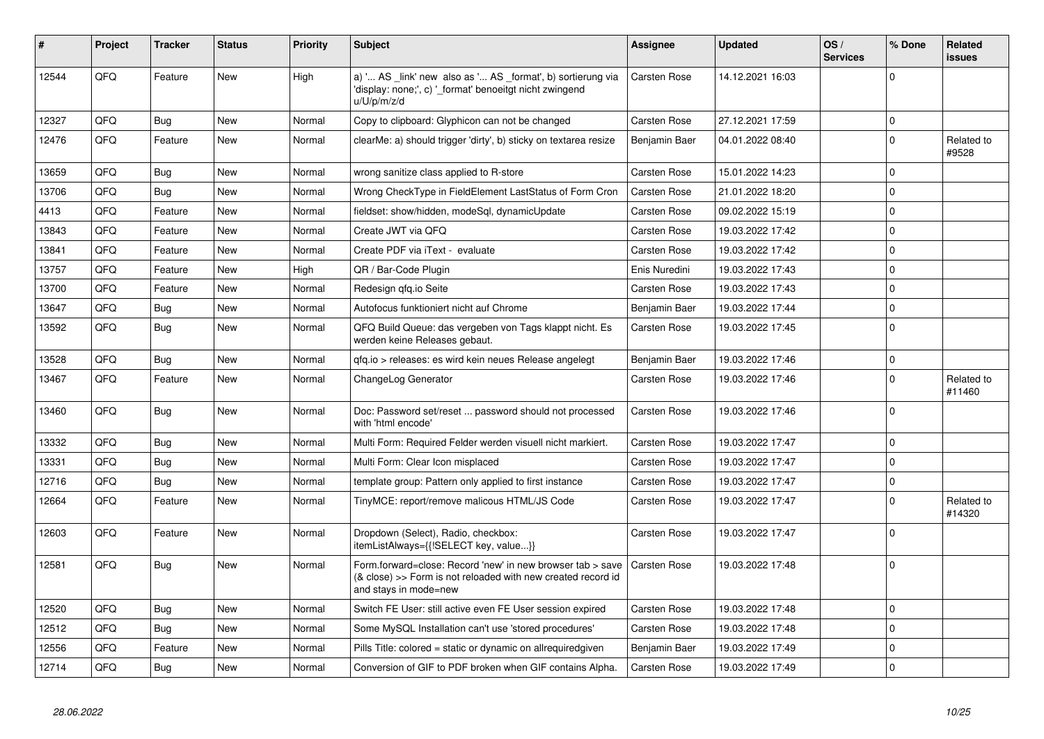| #     | Project | <b>Tracker</b> | <b>Status</b> | <b>Priority</b> | <b>Subject</b>                                                                                                                                      | Assignee            | <b>Updated</b>   | OS/<br><b>Services</b> | % Done      | Related<br><b>issues</b> |
|-------|---------|----------------|---------------|-----------------|-----------------------------------------------------------------------------------------------------------------------------------------------------|---------------------|------------------|------------------------|-------------|--------------------------|
| 12544 | QFQ     | Feature        | <b>New</b>    | High            | a) ' AS _link' new also as ' AS _format', b) sortierung via<br>'display: none;', c) '_format' benoeitgt nicht zwingend<br>u/U/p/m/z/d               | Carsten Rose        | 14.12.2021 16:03 |                        | $\Omega$    |                          |
| 12327 | QFQ     | <b>Bug</b>     | <b>New</b>    | Normal          | Copy to clipboard: Glyphicon can not be changed                                                                                                     | Carsten Rose        | 27.12.2021 17:59 |                        | $\Omega$    |                          |
| 12476 | QFQ     | Feature        | New           | Normal          | clearMe: a) should trigger 'dirty', b) sticky on textarea resize                                                                                    | Benjamin Baer       | 04.01.2022 08:40 |                        | 0           | Related to<br>#9528      |
| 13659 | QFQ     | Bug            | <b>New</b>    | Normal          | wrong sanitize class applied to R-store                                                                                                             | Carsten Rose        | 15.01.2022 14:23 |                        | $\Omega$    |                          |
| 13706 | QFQ     | Bug            | <b>New</b>    | Normal          | Wrong CheckType in FieldElement LastStatus of Form Cron                                                                                             | Carsten Rose        | 21.01.2022 18:20 |                        | 0           |                          |
| 4413  | QFQ     | Feature        | <b>New</b>    | Normal          | fieldset: show/hidden, modeSql, dynamicUpdate                                                                                                       | Carsten Rose        | 09.02.2022 15:19 |                        | $\Omega$    |                          |
| 13843 | QFQ     | Feature        | New           | Normal          | Create JWT via QFQ                                                                                                                                  | Carsten Rose        | 19.03.2022 17:42 |                        | $\Omega$    |                          |
| 13841 | QFQ     | Feature        | <b>New</b>    | Normal          | Create PDF via iText - evaluate                                                                                                                     | Carsten Rose        | 19.03.2022 17:42 |                        | $\Omega$    |                          |
| 13757 | QFQ     | Feature        | <b>New</b>    | High            | QR / Bar-Code Plugin                                                                                                                                | Enis Nuredini       | 19.03.2022 17:43 |                        | $\Omega$    |                          |
| 13700 | QFQ     | Feature        | <b>New</b>    | Normal          | Redesign qfq.io Seite                                                                                                                               | Carsten Rose        | 19.03.2022 17:43 |                        | $\Omega$    |                          |
| 13647 | QFQ     | Bug            | <b>New</b>    | Normal          | Autofocus funktioniert nicht auf Chrome                                                                                                             | Benjamin Baer       | 19.03.2022 17:44 |                        | $\Omega$    |                          |
| 13592 | QFQ     | Bug            | <b>New</b>    | Normal          | QFQ Build Queue: das vergeben von Tags klappt nicht. Es<br>werden keine Releases gebaut.                                                            | Carsten Rose        | 19.03.2022 17:45 |                        | $\Omega$    |                          |
| 13528 | QFQ     | Bug            | <b>New</b>    | Normal          | qfq.io > releases: es wird kein neues Release angelegt                                                                                              | Benjamin Baer       | 19.03.2022 17:46 |                        | $\mathbf 0$ |                          |
| 13467 | QFQ     | Feature        | <b>New</b>    | Normal          | ChangeLog Generator                                                                                                                                 | Carsten Rose        | 19.03.2022 17:46 |                        | 0           | Related to<br>#11460     |
| 13460 | QFQ     | <b>Bug</b>     | <b>New</b>    | Normal          | Doc: Password set/reset  password should not processed<br>with 'html encode'                                                                        | Carsten Rose        | 19.03.2022 17:46 |                        | 0           |                          |
| 13332 | QFQ     | Bug            | <b>New</b>    | Normal          | Multi Form: Required Felder werden visuell nicht markiert.                                                                                          | Carsten Rose        | 19.03.2022 17:47 |                        | $\Omega$    |                          |
| 13331 | QFQ     | Bug            | <b>New</b>    | Normal          | Multi Form: Clear Icon misplaced                                                                                                                    | Carsten Rose        | 19.03.2022 17:47 |                        | $\Omega$    |                          |
| 12716 | QFQ     | <b>Bug</b>     | <b>New</b>    | Normal          | template group: Pattern only applied to first instance                                                                                              | Carsten Rose        | 19.03.2022 17:47 |                        | $\Omega$    |                          |
| 12664 | QFQ     | Feature        | <b>New</b>    | Normal          | TinyMCE: report/remove malicous HTML/JS Code                                                                                                        | Carsten Rose        | 19.03.2022 17:47 |                        | $\Omega$    | Related to<br>#14320     |
| 12603 | QFQ     | Feature        | New           | Normal          | Dropdown (Select), Radio, checkbox:<br>itemListAlways={{!SELECT key, value}}                                                                        | Carsten Rose        | 19.03.2022 17:47 |                        | 0           |                          |
| 12581 | QFQ     | <b>Bug</b>     | New           | Normal          | Form.forward=close: Record 'new' in new browser tab > save<br>(& close) >> Form is not reloaded with new created record id<br>and stays in mode=new | Carsten Rose        | 19.03.2022 17:48 |                        | $\Omega$    |                          |
| 12520 | QFQ     | Bug            | <b>New</b>    | Normal          | Switch FE User: still active even FE User session expired                                                                                           | <b>Carsten Rose</b> | 19.03.2022 17:48 |                        | $\Omega$    |                          |
| 12512 | QFQ     | <b>Bug</b>     | New           | Normal          | Some MySQL Installation can't use 'stored procedures'                                                                                               | Carsten Rose        | 19.03.2022 17:48 |                        | $\Omega$    |                          |
| 12556 | QFQ     | Feature        | <b>New</b>    | Normal          | Pills Title: colored = static or dynamic on allrequiredgiven                                                                                        | Benjamin Baer       | 19.03.2022 17:49 |                        | $\Omega$    |                          |
| 12714 | QFQ     | Bug            | New           | Normal          | Conversion of GIF to PDF broken when GIF contains Alpha.                                                                                            | Carsten Rose        | 19.03.2022 17:49 |                        | 0           |                          |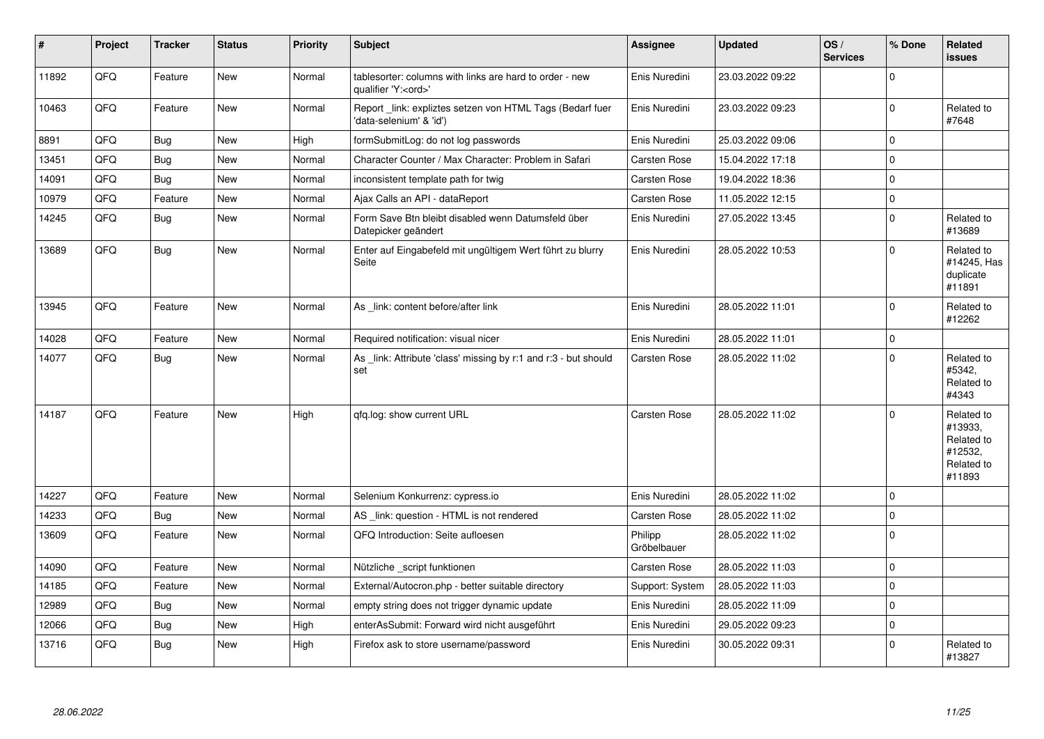| $\vert$ # | Project | <b>Tracker</b> | <b>Status</b> | <b>Priority</b> | <b>Subject</b>                                                                        | <b>Assignee</b>        | <b>Updated</b>   | OS/<br><b>Services</b> | % Done       | Related<br><b>issues</b>                                               |
|-----------|---------|----------------|---------------|-----------------|---------------------------------------------------------------------------------------|------------------------|------------------|------------------------|--------------|------------------------------------------------------------------------|
| 11892     | QFQ     | Feature        | <b>New</b>    | Normal          | tablesorter: columns with links are hard to order - new<br>qualifier 'Y: <ord>'</ord> | Enis Nuredini          | 23.03.2022 09:22 |                        | $\Omega$     |                                                                        |
| 10463     | QFQ     | Feature        | New           | Normal          | Report link: expliztes setzen von HTML Tags (Bedarf fuer<br>'data-selenium' & 'id')   | Enis Nuredini          | 23.03.2022 09:23 |                        | $\Omega$     | Related to<br>#7648                                                    |
| 8891      | QFQ     | Bug            | New           | High            | formSubmitLog: do not log passwords                                                   | Enis Nuredini          | 25.03.2022 09:06 |                        | $\mathbf 0$  |                                                                        |
| 13451     | QFQ     | Bug            | <b>New</b>    | Normal          | Character Counter / Max Character: Problem in Safari                                  | Carsten Rose           | 15.04.2022 17:18 |                        | $\mathbf 0$  |                                                                        |
| 14091     | QFQ     | Bug            | <b>New</b>    | Normal          | inconsistent template path for twig                                                   | Carsten Rose           | 19.04.2022 18:36 |                        | $\mathbf{0}$ |                                                                        |
| 10979     | QFQ     | Feature        | New           | Normal          | Ajax Calls an API - dataReport                                                        | Carsten Rose           | 11.05.2022 12:15 |                        | $\pmb{0}$    |                                                                        |
| 14245     | QFQ     | <b>Bug</b>     | <b>New</b>    | Normal          | Form Save Btn bleibt disabled wenn Datumsfeld über<br>Datepicker geändert             | Enis Nuredini          | 27.05.2022 13:45 |                        | $\mathbf{0}$ | Related to<br>#13689                                                   |
| 13689     | QFQ     | Bug            | <b>New</b>    | Normal          | Enter auf Eingabefeld mit ungültigem Wert führt zu blurry<br>Seite                    | Enis Nuredini          | 28.05.2022 10:53 |                        | $\Omega$     | Related to<br>#14245, Has<br>duplicate<br>#11891                       |
| 13945     | QFQ     | Feature        | <b>New</b>    | Normal          | As link: content before/after link                                                    | Enis Nuredini          | 28.05.2022 11:01 |                        | $\Omega$     | Related to<br>#12262                                                   |
| 14028     | QFQ     | Feature        | <b>New</b>    | Normal          | Required notification: visual nicer                                                   | Enis Nuredini          | 28.05.2022 11:01 |                        | $\pmb{0}$    |                                                                        |
| 14077     | QFQ     | <b>Bug</b>     | New           | Normal          | As link: Attribute 'class' missing by r:1 and r:3 - but should<br>set                 | Carsten Rose           | 28.05.2022 11:02 |                        | $\Omega$     | Related to<br>#5342.<br>Related to<br>#4343                            |
| 14187     | QFQ     | Feature        | <b>New</b>    | High            | gfg.log: show current URL                                                             | Carsten Rose           | 28.05.2022 11:02 |                        | $\mathbf{0}$ | Related to<br>#13933.<br>Related to<br>#12532,<br>Related to<br>#11893 |
| 14227     | QFQ     | Feature        | <b>New</b>    | Normal          | Selenium Konkurrenz: cypress.io                                                       | Enis Nuredini          | 28.05.2022 11:02 |                        | $\mathbf 0$  |                                                                        |
| 14233     | QFQ     | Bug            | <b>New</b>    | Normal          | AS _link: question - HTML is not rendered                                             | Carsten Rose           | 28.05.2022 11:02 |                        | $\pmb{0}$    |                                                                        |
| 13609     | QFQ     | Feature        | New           | Normal          | QFQ Introduction: Seite aufloesen                                                     | Philipp<br>Gröbelbauer | 28.05.2022 11:02 |                        | $\mathbf{0}$ |                                                                        |
| 14090     | QFQ     | Feature        | <b>New</b>    | Normal          | Nützliche script funktionen                                                           | Carsten Rose           | 28.05.2022 11:03 |                        | $\mathbf 0$  |                                                                        |
| 14185     | QFQ     | Feature        | <b>New</b>    | Normal          | External/Autocron.php - better suitable directory                                     | Support: System        | 28.05.2022 11:03 |                        | $\mathbf 0$  |                                                                        |
| 12989     | QFQ     | <b>Bug</b>     | New           | Normal          | empty string does not trigger dynamic update                                          | Enis Nuredini          | 28.05.2022 11:09 |                        | $\pmb{0}$    |                                                                        |
| 12066     | QFQ     | Bug            | <b>New</b>    | High            | enterAsSubmit: Forward wird nicht ausgeführt                                          | Enis Nuredini          | 29.05.2022 09:23 |                        | $\mathbf 0$  |                                                                        |
| 13716     | QFQ     | Bug            | New           | High            | Firefox ask to store username/password                                                | Enis Nuredini          | 30.05.2022 09:31 |                        | $\mathbf 0$  | Related to<br>#13827                                                   |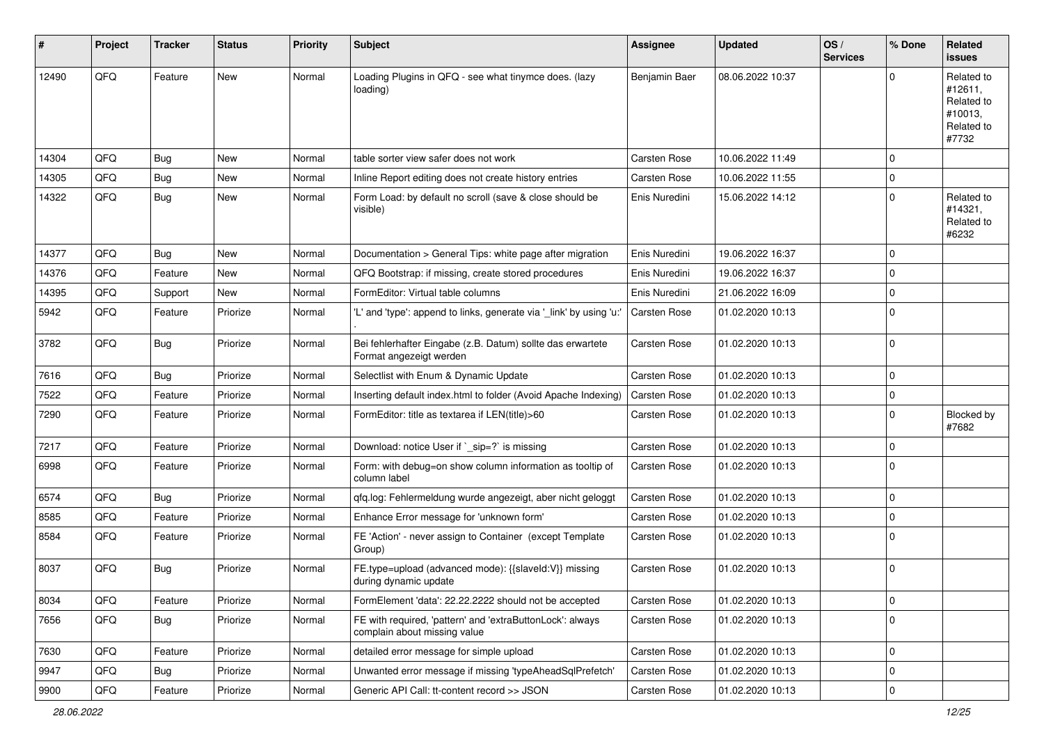| #     | Project | <b>Tracker</b> | <b>Status</b> | <b>Priority</b> | Subject                                                                                   | Assignee            | <b>Updated</b>   | OS/<br><b>Services</b> | % Done       | Related<br><b>issues</b>                                              |
|-------|---------|----------------|---------------|-----------------|-------------------------------------------------------------------------------------------|---------------------|------------------|------------------------|--------------|-----------------------------------------------------------------------|
| 12490 | QFQ     | Feature        | <b>New</b>    | Normal          | Loading Plugins in QFQ - see what tinymce does. (lazy<br>loading)                         | Benjamin Baer       | 08.06.2022 10:37 |                        | $\Omega$     | Related to<br>#12611,<br>Related to<br>#10013.<br>Related to<br>#7732 |
| 14304 | QFQ     | <b>Bug</b>     | <b>New</b>    | Normal          | table sorter view safer does not work                                                     | <b>Carsten Rose</b> | 10.06.2022 11:49 |                        | $\mathbf 0$  |                                                                       |
| 14305 | QFQ     | Bug            | <b>New</b>    | Normal          | Inline Report editing does not create history entries                                     | Carsten Rose        | 10.06.2022 11:55 |                        | $\Omega$     |                                                                       |
| 14322 | QFQ     | Bug            | <b>New</b>    | Normal          | Form Load: by default no scroll (save & close should be<br>visible).                      | Enis Nuredini       | 15.06.2022 14:12 |                        | $\mathbf 0$  | Related to<br>#14321,<br>Related to<br>#6232                          |
| 14377 | QFQ     | <b>Bug</b>     | New           | Normal          | Documentation > General Tips: white page after migration                                  | Enis Nuredini       | 19.06.2022 16:37 |                        | $\mathbf 0$  |                                                                       |
| 14376 | QFQ     | Feature        | New           | Normal          | QFQ Bootstrap: if missing, create stored procedures                                       | Enis Nuredini       | 19.06.2022 16:37 |                        | $\mathbf 0$  |                                                                       |
| 14395 | QFQ     | Support        | New           | Normal          | FormEditor: Virtual table columns                                                         | Enis Nuredini       | 21.06.2022 16:09 |                        | $\mathbf 0$  |                                                                       |
| 5942  | QFQ     | Feature        | Priorize      | Normal          | 'L' and 'type': append to links, generate via '_link' by using 'u:'                       | Carsten Rose        | 01.02.2020 10:13 |                        | $\mathbf 0$  |                                                                       |
| 3782  | QFQ     | Bug            | Priorize      | Normal          | Bei fehlerhafter Eingabe (z.B. Datum) sollte das erwartete<br>Format angezeigt werden     | Carsten Rose        | 01.02.2020 10:13 |                        | $\mathbf{0}$ |                                                                       |
| 7616  | QFQ     | Bug            | Priorize      | Normal          | Selectlist with Enum & Dynamic Update                                                     | Carsten Rose        | 01.02.2020 10:13 |                        | $\mathbf 0$  |                                                                       |
| 7522  | QFQ     | Feature        | Priorize      | Normal          | Inserting default index.html to folder (Avoid Apache Indexing)                            | <b>Carsten Rose</b> | 01.02.2020 10:13 |                        | $\mathbf 0$  |                                                                       |
| 7290  | QFQ     | Feature        | Priorize      | Normal          | FormEditor: title as textarea if LEN(title)>60                                            | Carsten Rose        | 01.02.2020 10:13 |                        | $\mathbf 0$  | Blocked by<br>#7682                                                   |
| 7217  | QFQ     | Feature        | Priorize      | Normal          | Download: notice User if `_sip=?` is missing                                              | Carsten Rose        | 01.02.2020 10:13 |                        | $\mathbf 0$  |                                                                       |
| 6998  | QFQ     | Feature        | Priorize      | Normal          | Form: with debug=on show column information as tooltip of<br>column label                 | Carsten Rose        | 01.02.2020 10:13 |                        | $\mathbf 0$  |                                                                       |
| 6574  | QFQ     | Bug            | Priorize      | Normal          | qfq.log: Fehlermeldung wurde angezeigt, aber nicht geloggt                                | Carsten Rose        | 01.02.2020 10:13 |                        | $\mathbf 0$  |                                                                       |
| 8585  | QFQ     | Feature        | Priorize      | Normal          | Enhance Error message for 'unknown form'                                                  | Carsten Rose        | 01.02.2020 10:13 |                        | $\mathbf 0$  |                                                                       |
| 8584  | QFQ     | Feature        | Priorize      | Normal          | FE 'Action' - never assign to Container (except Template<br>Group)                        | Carsten Rose        | 01.02.2020 10:13 |                        | $\mathbf 0$  |                                                                       |
| 8037  | QFQ     | Bug            | Priorize      | Normal          | FE.type=upload (advanced mode): {{slaveld:V}} missing<br>during dynamic update            | Carsten Rose        | 01.02.2020 10:13 |                        | $\mathbf 0$  |                                                                       |
| 8034  | QFQ     | Feature        | Priorize      | Normal          | FormElement 'data': 22.22.2222 should not be accepted                                     | Carsten Rose        | 01.02.2020 10:13 |                        | $\pmb{0}$    |                                                                       |
| 7656  | QFQ     | Bug            | Priorize      | Normal          | FE with required, 'pattern' and 'extraButtonLock': always<br>complain about missing value | Carsten Rose        | 01.02.2020 10:13 |                        | $\mathbf 0$  |                                                                       |
| 7630  | QFQ     | Feature        | Priorize      | Normal          | detailed error message for simple upload                                                  | Carsten Rose        | 01.02.2020 10:13 |                        | $\mathbf 0$  |                                                                       |
| 9947  | QFQ     | <b>Bug</b>     | Priorize      | Normal          | Unwanted error message if missing 'typeAheadSqlPrefetch'                                  | Carsten Rose        | 01.02.2020 10:13 |                        | $\mathbf 0$  |                                                                       |
| 9900  | QFQ     | Feature        | Priorize      | Normal          | Generic API Call: tt-content record >> JSON                                               | Carsten Rose        | 01.02.2020 10:13 |                        | $\mathbf 0$  |                                                                       |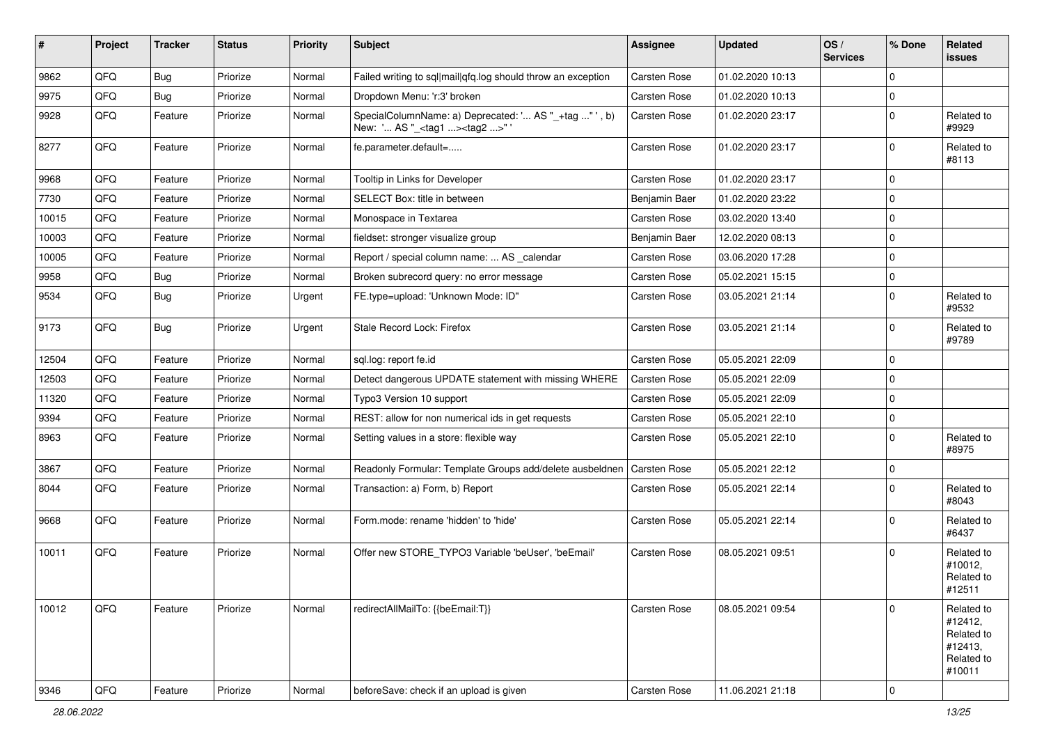| #     | Project | <b>Tracker</b> | <b>Status</b> | <b>Priority</b> | <b>Subject</b>                                                                                      | Assignee            | <b>Updated</b>   | OS/<br><b>Services</b> | % Done       | Related<br><b>issues</b>                                               |
|-------|---------|----------------|---------------|-----------------|-----------------------------------------------------------------------------------------------------|---------------------|------------------|------------------------|--------------|------------------------------------------------------------------------|
| 9862  | QFQ     | Bug            | Priorize      | Normal          | Failed writing to sql mail qfq.log should throw an exception                                        | Carsten Rose        | 01.02.2020 10:13 |                        | $\mathbf 0$  |                                                                        |
| 9975  | QFQ     | Bug            | Priorize      | Normal          | Dropdown Menu: 'r:3' broken                                                                         | <b>Carsten Rose</b> | 01.02.2020 10:13 |                        | $\mathbf 0$  |                                                                        |
| 9928  | QFQ     | Feature        | Priorize      | Normal          | SpecialColumnName: a) Deprecated: ' AS "_+tag " ', b)<br>New: ' AS "_ <tag1><tag2>" '</tag2></tag1> | Carsten Rose        | 01.02.2020 23:17 |                        | $\mathbf 0$  | Related to<br>#9929                                                    |
| 8277  | QFQ     | Feature        | Priorize      | Normal          | fe.parameter.default=                                                                               | Carsten Rose        | 01.02.2020 23:17 |                        | $\mathbf 0$  | Related to<br>#8113                                                    |
| 9968  | QFQ     | Feature        | Priorize      | Normal          | Tooltip in Links for Developer                                                                      | Carsten Rose        | 01.02.2020 23:17 |                        | $\mathbf 0$  |                                                                        |
| 7730  | QFQ     | Feature        | Priorize      | Normal          | SELECT Box: title in between                                                                        | Benjamin Baer       | 01.02.2020 23:22 |                        | $\mathbf 0$  |                                                                        |
| 10015 | QFQ     | Feature        | Priorize      | Normal          | Monospace in Textarea                                                                               | Carsten Rose        | 03.02.2020 13:40 |                        | $\mathbf 0$  |                                                                        |
| 10003 | QFQ     | Feature        | Priorize      | Normal          | fieldset: stronger visualize group                                                                  | Benjamin Baer       | 12.02.2020 08:13 |                        | $\mathsf 0$  |                                                                        |
| 10005 | QFQ     | Feature        | Priorize      | Normal          | Report / special column name:  AS _calendar                                                         | Carsten Rose        | 03.06.2020 17:28 |                        | $\mathbf 0$  |                                                                        |
| 9958  | QFQ     | Bug            | Priorize      | Normal          | Broken subrecord query: no error message                                                            | <b>Carsten Rose</b> | 05.02.2021 15:15 |                        | $\mathbf{0}$ |                                                                        |
| 9534  | QFQ     | <b>Bug</b>     | Priorize      | Urgent          | FE.type=upload: 'Unknown Mode: ID"                                                                  | Carsten Rose        | 03.05.2021 21:14 |                        | $\mathbf 0$  | Related to<br>#9532                                                    |
| 9173  | QFQ     | <b>Bug</b>     | Priorize      | Urgent          | Stale Record Lock: Firefox                                                                          | Carsten Rose        | 03.05.2021 21:14 |                        | $\mathbf 0$  | Related to<br>#9789                                                    |
| 12504 | QFQ     | Feature        | Priorize      | Normal          | sql.log: report fe.id                                                                               | Carsten Rose        | 05.05.2021 22:09 |                        | $\mathbf 0$  |                                                                        |
| 12503 | QFQ     | Feature        | Priorize      | Normal          | Detect dangerous UPDATE statement with missing WHERE                                                | Carsten Rose        | 05.05.2021 22:09 |                        | $\mathbf 0$  |                                                                        |
| 11320 | QFQ     | Feature        | Priorize      | Normal          | Typo3 Version 10 support                                                                            | Carsten Rose        | 05.05.2021 22:09 |                        | $\mathbf 0$  |                                                                        |
| 9394  | QFQ     | Feature        | Priorize      | Normal          | REST: allow for non numerical ids in get requests                                                   | Carsten Rose        | 05.05.2021 22:10 |                        | $\mathbf 0$  |                                                                        |
| 8963  | QFQ     | Feature        | Priorize      | Normal          | Setting values in a store: flexible way                                                             | Carsten Rose        | 05.05.2021 22:10 |                        | $\mathbf 0$  | Related to<br>#8975                                                    |
| 3867  | QFQ     | Feature        | Priorize      | Normal          | Readonly Formular: Template Groups add/delete ausbeldnen                                            | <b>Carsten Rose</b> | 05.05.2021 22:12 |                        | $\mathbf 0$  |                                                                        |
| 8044  | QFQ     | Feature        | Priorize      | Normal          | Transaction: a) Form, b) Report                                                                     | Carsten Rose        | 05.05.2021 22:14 |                        | $\Omega$     | Related to<br>#8043                                                    |
| 9668  | QFQ     | Feature        | Priorize      | Normal          | Form.mode: rename 'hidden' to 'hide'                                                                | Carsten Rose        | 05.05.2021 22:14 |                        | $\mathbf 0$  | Related to<br>#6437                                                    |
| 10011 | QFQ     | Feature        | Priorize      | Normal          | Offer new STORE_TYPO3 Variable 'beUser', 'beEmail'                                                  | Carsten Rose        | 08.05.2021 09:51 |                        | $\mathbf 0$  | Related to<br>#10012,<br>Related to<br>#12511                          |
| 10012 | QFQ     | Feature        | Priorize      | Normal          | redirectAllMailTo: {{beEmail:T}}                                                                    | Carsten Rose        | 08.05.2021 09:54 |                        | $\mathbf 0$  | Related to<br>#12412,<br>Related to<br>#12413,<br>Related to<br>#10011 |
| 9346  | QFQ     | Feature        | Priorize      | Normal          | beforeSave: check if an upload is given                                                             | Carsten Rose        | 11.06.2021 21:18 |                        | $\pmb{0}$    |                                                                        |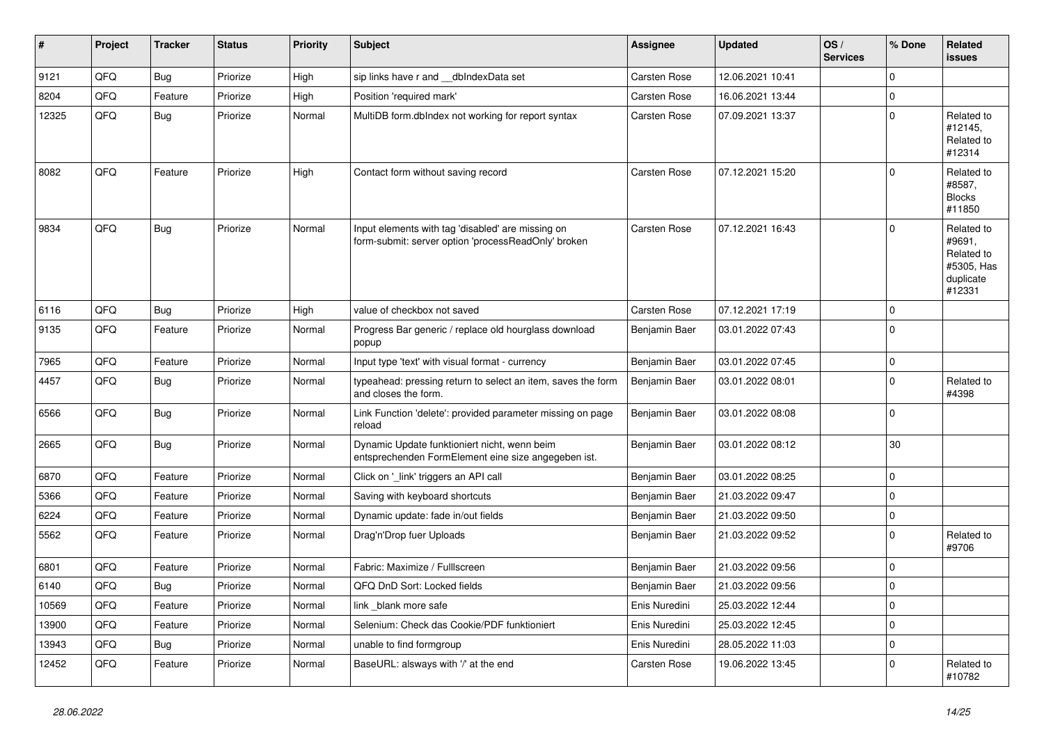| #     | Project | <b>Tracker</b> | <b>Status</b> | <b>Priority</b> | <b>Subject</b>                                                                                           | <b>Assignee</b>     | Updated          | OS/<br><b>Services</b> | % Done      | Related<br><b>issues</b>                                                |
|-------|---------|----------------|---------------|-----------------|----------------------------------------------------------------------------------------------------------|---------------------|------------------|------------------------|-------------|-------------------------------------------------------------------------|
| 9121  | QFQ     | <b>Bug</b>     | Priorize      | High            | sip links have r and dblndexData set                                                                     | Carsten Rose        | 12.06.2021 10:41 |                        | $\mathbf 0$ |                                                                         |
| 8204  | QFQ     | Feature        | Priorize      | High            | Position 'required mark'                                                                                 | Carsten Rose        | 16.06.2021 13:44 |                        | $\pmb{0}$   |                                                                         |
| 12325 | QFQ     | <b>Bug</b>     | Priorize      | Normal          | MultiDB form.dblndex not working for report syntax                                                       | Carsten Rose        | 07.09.2021 13:37 |                        | $\pmb{0}$   | Related to<br>#12145,<br>Related to<br>#12314                           |
| 8082  | QFQ     | Feature        | Priorize      | High            | Contact form without saving record                                                                       | Carsten Rose        | 07.12.2021 15:20 |                        | $\mathbf 0$ | Related to<br>#8587,<br><b>Blocks</b><br>#11850                         |
| 9834  | QFQ     | <b>Bug</b>     | Priorize      | Normal          | Input elements with tag 'disabled' are missing on<br>form-submit: server option 'processReadOnly' broken | Carsten Rose        | 07.12.2021 16:43 |                        | $\mathbf 0$ | Related to<br>#9691,<br>Related to<br>#5305, Has<br>duplicate<br>#12331 |
| 6116  | QFQ     | Bug            | Priorize      | High            | value of checkbox not saved                                                                              | <b>Carsten Rose</b> | 07.12.2021 17:19 |                        | $\pmb{0}$   |                                                                         |
| 9135  | QFQ     | Feature        | Priorize      | Normal          | Progress Bar generic / replace old hourglass download<br>popup                                           | Benjamin Baer       | 03.01.2022 07:43 |                        | $\mathbf 0$ |                                                                         |
| 7965  | QFQ     | Feature        | Priorize      | Normal          | Input type 'text' with visual format - currency                                                          | Benjamin Baer       | 03.01.2022 07:45 |                        | $\mathbf 0$ |                                                                         |
| 4457  | QFQ     | <b>Bug</b>     | Priorize      | Normal          | typeahead: pressing return to select an item, saves the form<br>and closes the form.                     | Benjamin Baer       | 03.01.2022 08:01 |                        | $\mathbf 0$ | Related to<br>#4398                                                     |
| 6566  | QFQ     | Bug            | Priorize      | Normal          | Link Function 'delete': provided parameter missing on page<br>reload                                     | Benjamin Baer       | 03.01.2022 08:08 |                        | $\mathbf 0$ |                                                                         |
| 2665  | QFQ     | <b>Bug</b>     | Priorize      | Normal          | Dynamic Update funktioniert nicht, wenn beim<br>entsprechenden FormElement eine size angegeben ist.      | Benjamin Baer       | 03.01.2022 08:12 |                        | 30          |                                                                         |
| 6870  | QFQ     | Feature        | Priorize      | Normal          | Click on '_link' triggers an API call                                                                    | Benjamin Baer       | 03.01.2022 08:25 |                        | $\mathbf 0$ |                                                                         |
| 5366  | QFQ     | Feature        | Priorize      | Normal          | Saving with keyboard shortcuts                                                                           | Benjamin Baer       | 21.03.2022 09:47 |                        | $\mathbf 0$ |                                                                         |
| 6224  | QFQ     | Feature        | Priorize      | Normal          | Dynamic update: fade in/out fields                                                                       | Benjamin Baer       | 21.03.2022 09:50 |                        | $\mathbf 0$ |                                                                         |
| 5562  | QFQ     | Feature        | Priorize      | Normal          | Drag'n'Drop fuer Uploads                                                                                 | Benjamin Baer       | 21.03.2022 09:52 |                        | $\mathbf 0$ | Related to<br>#9706                                                     |
| 6801  | QFQ     | Feature        | Priorize      | Normal          | Fabric: Maximize / FullIscreen                                                                           | Benjamin Baer       | 21.03.2022 09:56 |                        | $\mathbf 0$ |                                                                         |
| 6140  | QFQ     | <b>Bug</b>     | Priorize      | Normal          | QFQ DnD Sort: Locked fields                                                                              | Benjamin Baer       | 21.03.2022 09:56 |                        | $\mathbf 0$ |                                                                         |
| 10569 | QFQ     | Feature        | Priorize      | Normal          | link blank more safe                                                                                     | Enis Nuredini       | 25.03.2022 12:44 |                        | $\mathbf 0$ |                                                                         |
| 13900 | QFQ     | Feature        | Priorize      | Normal          | Selenium: Check das Cookie/PDF funktioniert                                                              | Enis Nuredini       | 25.03.2022 12:45 |                        | $\mathbf 0$ |                                                                         |
| 13943 | QFQ     | <b>Bug</b>     | Priorize      | Normal          | unable to find formgroup                                                                                 | Enis Nuredini       | 28.05.2022 11:03 |                        | $\pmb{0}$   |                                                                         |
| 12452 | QFQ     | Feature        | Priorize      | Normal          | BaseURL: alsways with '/' at the end                                                                     | Carsten Rose        | 19.06.2022 13:45 |                        | $\Omega$    | Related to<br>#10782                                                    |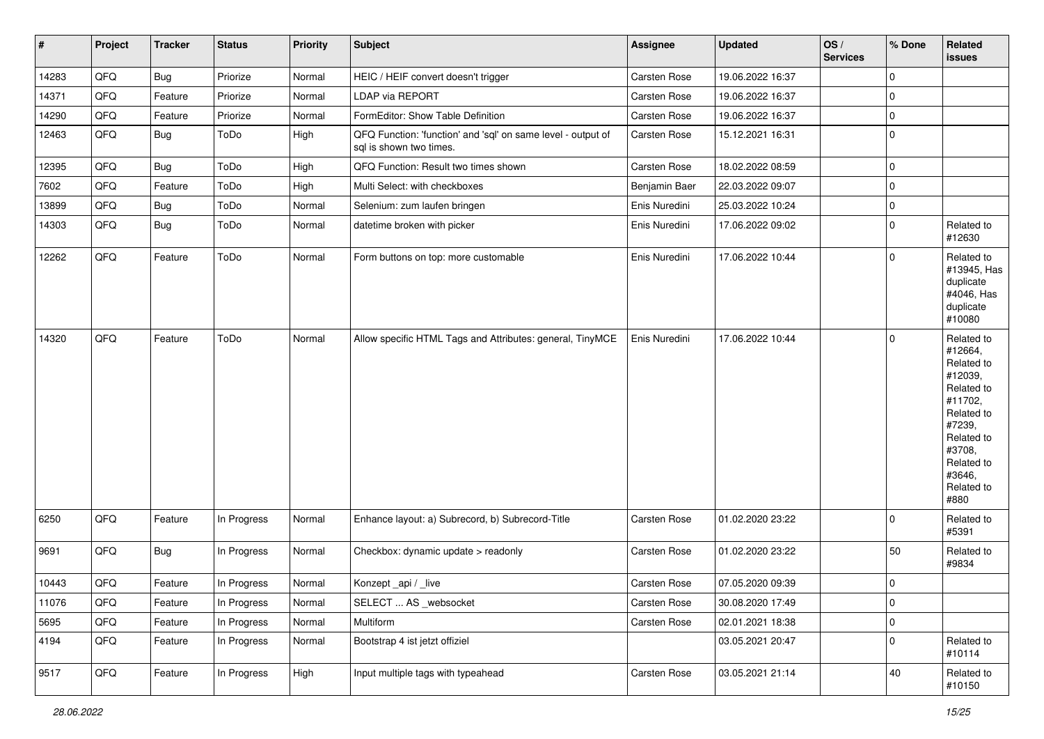| #     | Project | <b>Tracker</b> | <b>Status</b> | <b>Priority</b> | <b>Subject</b>                                                                          | Assignee            | <b>Updated</b>   | OS/<br><b>Services</b> | % Done      | Related<br><b>issues</b>                                                                                                                                              |
|-------|---------|----------------|---------------|-----------------|-----------------------------------------------------------------------------------------|---------------------|------------------|------------------------|-------------|-----------------------------------------------------------------------------------------------------------------------------------------------------------------------|
| 14283 | QFQ     | <b>Bug</b>     | Priorize      | Normal          | HEIC / HEIF convert doesn't trigger                                                     | <b>Carsten Rose</b> | 19.06.2022 16:37 |                        | $\mathbf 0$ |                                                                                                                                                                       |
| 14371 | QFQ     | Feature        | Priorize      | Normal          | <b>LDAP via REPORT</b>                                                                  | Carsten Rose        | 19.06.2022 16:37 |                        | $\mathbf 0$ |                                                                                                                                                                       |
| 14290 | QFQ     | Feature        | Priorize      | Normal          | FormEditor: Show Table Definition                                                       | Carsten Rose        | 19.06.2022 16:37 |                        | $\mathbf 0$ |                                                                                                                                                                       |
| 12463 | QFQ     | <b>Bug</b>     | ToDo          | High            | QFQ Function: 'function' and 'sql' on same level - output of<br>sql is shown two times. | Carsten Rose        | 15.12.2021 16:31 |                        | $\mathbf 0$ |                                                                                                                                                                       |
| 12395 | QFQ     | Bug            | ToDo          | High            | QFQ Function: Result two times shown                                                    | Carsten Rose        | 18.02.2022 08:59 |                        | $\pmb{0}$   |                                                                                                                                                                       |
| 7602  | QFQ     | Feature        | ToDo          | High            | Multi Select: with checkboxes                                                           | Benjamin Baer       | 22.03.2022 09:07 |                        | $\mathbf 0$ |                                                                                                                                                                       |
| 13899 | QFQ     | Bug            | ToDo          | Normal          | Selenium: zum laufen bringen                                                            | Enis Nuredini       | 25.03.2022 10:24 |                        | $\mathbf 0$ |                                                                                                                                                                       |
| 14303 | QFQ     | Bug            | ToDo          | Normal          | datetime broken with picker                                                             | Enis Nuredini       | 17.06.2022 09:02 |                        | $\mathbf 0$ | Related to<br>#12630                                                                                                                                                  |
| 12262 | QFQ     | Feature        | ToDo          | Normal          | Form buttons on top: more customable                                                    | Enis Nuredini       | 17.06.2022 10:44 |                        | $\mathbf 0$ | Related to<br>#13945, Has<br>duplicate<br>#4046, Has<br>duplicate<br>#10080                                                                                           |
| 14320 | QFQ     | Feature        | ToDo          | Normal          | Allow specific HTML Tags and Attributes: general, TinyMCE                               | Enis Nuredini       | 17.06.2022 10:44 |                        | $\mathbf 0$ | Related to<br>#12664,<br>Related to<br>#12039,<br>Related to<br>#11702,<br>Related to<br>#7239,<br>Related to<br>#3708,<br>Related to<br>#3646,<br>Related to<br>#880 |
| 6250  | QFQ     | Feature        | In Progress   | Normal          | Enhance layout: a) Subrecord, b) Subrecord-Title                                        | Carsten Rose        | 01.02.2020 23:22 |                        | $\mathbf 0$ | Related to<br>#5391                                                                                                                                                   |
| 9691  | QFQ     | Bug            | In Progress   | Normal          | Checkbox: dynamic update > readonly                                                     | Carsten Rose        | 01.02.2020 23:22 |                        | 50          | Related to<br>#9834                                                                                                                                                   |
| 10443 | QFQ     | Feature        | In Progress   | Normal          | Konzept_api / _live                                                                     | <b>Carsten Rose</b> | 07.05.2020 09:39 |                        | $\mathbf 0$ |                                                                                                                                                                       |
| 11076 | QFQ     | Feature        | In Progress   | Normal          | SELECT  AS _websocket                                                                   | Carsten Rose        | 30.08.2020 17:49 |                        | $\pmb{0}$   |                                                                                                                                                                       |
| 5695  | QFQ     | Feature        | In Progress   | Normal          | Multiform                                                                               | Carsten Rose        | 02.01.2021 18:38 |                        | $\pmb{0}$   |                                                                                                                                                                       |
| 4194  | QFQ     | Feature        | In Progress   | Normal          | Bootstrap 4 ist jetzt offiziel                                                          |                     | 03.05.2021 20:47 |                        | $\mathbf 0$ | Related to<br>#10114                                                                                                                                                  |
| 9517  | QFQ     | Feature        | In Progress   | High            | Input multiple tags with typeahead                                                      | Carsten Rose        | 03.05.2021 21:14 |                        | $40\,$      | Related to<br>#10150                                                                                                                                                  |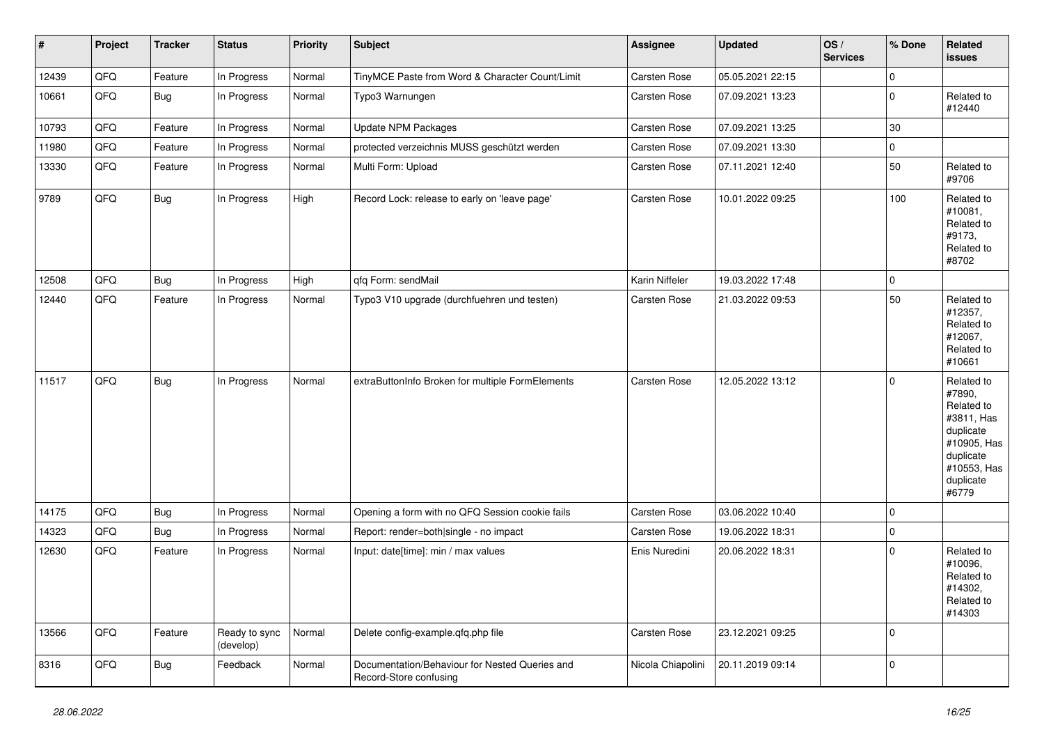| #     | Project | <b>Tracker</b> | <b>Status</b>              | <b>Priority</b> | <b>Subject</b>                                                           | Assignee          | <b>Updated</b>   | OS/<br><b>Services</b> | % Done      | Related<br><b>issues</b>                                                                                                       |
|-------|---------|----------------|----------------------------|-----------------|--------------------------------------------------------------------------|-------------------|------------------|------------------------|-------------|--------------------------------------------------------------------------------------------------------------------------------|
| 12439 | QFQ     | Feature        | In Progress                | Normal          | TinyMCE Paste from Word & Character Count/Limit                          | Carsten Rose      | 05.05.2021 22:15 |                        | $\mathbf 0$ |                                                                                                                                |
| 10661 | QFQ     | <b>Bug</b>     | In Progress                | Normal          | Typo3 Warnungen                                                          | Carsten Rose      | 07.09.2021 13:23 |                        | $\mathbf 0$ | Related to<br>#12440                                                                                                           |
| 10793 | QFQ     | Feature        | In Progress                | Normal          | <b>Update NPM Packages</b>                                               | Carsten Rose      | 07.09.2021 13:25 |                        | 30          |                                                                                                                                |
| 11980 | QFQ     | Feature        | In Progress                | Normal          | protected verzeichnis MUSS geschützt werden                              | Carsten Rose      | 07.09.2021 13:30 |                        | 0           |                                                                                                                                |
| 13330 | QFQ     | Feature        | In Progress                | Normal          | Multi Form: Upload                                                       | Carsten Rose      | 07.11.2021 12:40 |                        | 50          | Related to<br>#9706                                                                                                            |
| 9789  | QFQ     | Bug            | In Progress                | High            | Record Lock: release to early on 'leave page'                            | Carsten Rose      | 10.01.2022 09:25 |                        | 100         | Related to<br>#10081,<br>Related to<br>#9173,<br>Related to<br>#8702                                                           |
| 12508 | QFQ     | <b>Bug</b>     | In Progress                | High            | qfq Form: sendMail                                                       | Karin Niffeler    | 19.03.2022 17:48 |                        | $\mathbf 0$ |                                                                                                                                |
| 12440 | QFQ     | Feature        | In Progress                | Normal          | Typo3 V10 upgrade (durchfuehren und testen)                              | Carsten Rose      | 21.03.2022 09:53 |                        | 50          | Related to<br>#12357,<br>Related to<br>#12067,<br>Related to<br>#10661                                                         |
| 11517 | QFQ     | Bug            | In Progress                | Normal          | extraButtonInfo Broken for multiple FormElements                         | Carsten Rose      | 12.05.2022 13:12 |                        | $\mathbf 0$ | Related to<br>#7890,<br>Related to<br>#3811, Has<br>duplicate<br>#10905, Has<br>duplicate<br>#10553, Has<br>duplicate<br>#6779 |
| 14175 | QFQ     | Bug            | In Progress                | Normal          | Opening a form with no QFQ Session cookie fails                          | Carsten Rose      | 03.06.2022 10:40 |                        | $\mathbf 0$ |                                                                                                                                |
| 14323 | QFQ     | Bug            | In Progress                | Normal          | Report: render=both single - no impact                                   | Carsten Rose      | 19.06.2022 18:31 |                        | $\mathbf 0$ |                                                                                                                                |
| 12630 | QFQ     | Feature        | In Progress                | Normal          | Input: date[time]: min / max values                                      | Enis Nuredini     | 20.06.2022 18:31 |                        | $\mathbf 0$ | Related to<br>#10096,<br>Related to<br>#14302,<br>Related to<br>#14303                                                         |
| 13566 | QFQ     | Feature        | Ready to sync<br>(develop) | Normal          | Delete config-example.qfq.php file                                       | Carsten Rose      | 23.12.2021 09:25 |                        | $\mathbf 0$ |                                                                                                                                |
| 8316  | QFQ     | <b>Bug</b>     | Feedback                   | Normal          | Documentation/Behaviour for Nested Queries and<br>Record-Store confusing | Nicola Chiapolini | 20.11.2019 09:14 |                        | $\pmb{0}$   |                                                                                                                                |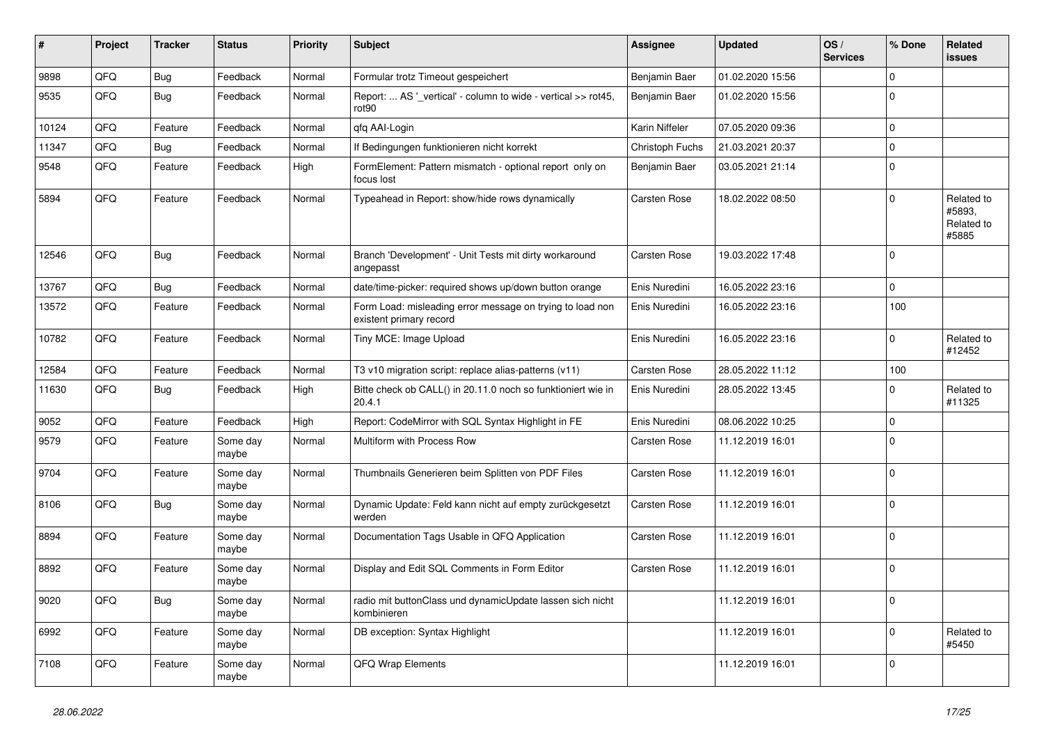| ∦     | Project | <b>Tracker</b> | <b>Status</b>     | <b>Priority</b> | <b>Subject</b>                                                                       | <b>Assignee</b> | <b>Updated</b>   | OS/<br><b>Services</b> | % Done       | Related<br><b>issues</b>                    |
|-------|---------|----------------|-------------------|-----------------|--------------------------------------------------------------------------------------|-----------------|------------------|------------------------|--------------|---------------------------------------------|
| 9898  | QFQ     | Bug            | Feedback          | Normal          | Formular trotz Timeout gespeichert                                                   | Benjamin Baer   | 01.02.2020 15:56 |                        | $\Omega$     |                                             |
| 9535  | QFQ     | Bug            | Feedback          | Normal          | Report:  AS '_vertical' - column to wide - vertical >> rot45,<br>rot90               | Benjamin Baer   | 01.02.2020 15:56 |                        | $\mathbf{0}$ |                                             |
| 10124 | QFQ     | Feature        | Feedback          | Normal          | qfq AAI-Login                                                                        | Karin Niffeler  | 07.05.2020 09:36 |                        | $\mathbf 0$  |                                             |
| 11347 | QFQ     | Bug            | Feedback          | Normal          | If Bedingungen funktionieren nicht korrekt                                           | Christoph Fuchs | 21.03.2021 20:37 |                        | $\mathbf 0$  |                                             |
| 9548  | QFQ     | Feature        | Feedback          | High            | FormElement: Pattern mismatch - optional report only on<br>focus lost                | Benjamin Baer   | 03.05.2021 21:14 |                        | $\mathbf 0$  |                                             |
| 5894  | QFQ     | Feature        | Feedback          | Normal          | Typeahead in Report: show/hide rows dynamically                                      | Carsten Rose    | 18.02.2022 08:50 |                        | $\Omega$     | Related to<br>#5893,<br>Related to<br>#5885 |
| 12546 | QFQ     | <b>Bug</b>     | Feedback          | Normal          | Branch 'Development' - Unit Tests mit dirty workaround<br>angepasst                  | Carsten Rose    | 19.03.2022 17:48 |                        | $\Omega$     |                                             |
| 13767 | QFQ     | Bug            | Feedback          | Normal          | date/time-picker: required shows up/down button orange                               | Enis Nuredini   | 16.05.2022 23:16 |                        | 0            |                                             |
| 13572 | QFQ     | Feature        | Feedback          | Normal          | Form Load: misleading error message on trying to load non<br>existent primary record | Enis Nuredini   | 16.05.2022 23:16 |                        | 100          |                                             |
| 10782 | QFQ     | Feature        | Feedback          | Normal          | Tiny MCE: Image Upload                                                               | Enis Nuredini   | 16.05.2022 23:16 |                        | $\Omega$     | Related to<br>#12452                        |
| 12584 | QFQ     | Feature        | Feedback          | Normal          | T3 v10 migration script: replace alias-patterns (v11)                                | Carsten Rose    | 28.05.2022 11:12 |                        | 100          |                                             |
| 11630 | QFQ     | <b>Bug</b>     | Feedback          | High            | Bitte check ob CALL() in 20.11.0 noch so funktioniert wie in<br>20.4.1               | Enis Nuredini   | 28.05.2022 13:45 |                        | $\Omega$     | Related to<br>#11325                        |
| 9052  | QFQ     | Feature        | Feedback          | High            | Report: CodeMirror with SQL Syntax Highlight in FE                                   | Enis Nuredini   | 08.06.2022 10:25 |                        | $\mathbf{0}$ |                                             |
| 9579  | QFQ     | Feature        | Some day<br>maybe | Normal          | Multiform with Process Row                                                           | Carsten Rose    | 11.12.2019 16:01 |                        | $\Omega$     |                                             |
| 9704  | QFQ     | Feature        | Some day<br>maybe | Normal          | Thumbnails Generieren beim Splitten von PDF Files                                    | Carsten Rose    | 11.12.2019 16:01 |                        | $\mathbf 0$  |                                             |
| 8106  | QFQ     | Bug            | Some day<br>maybe | Normal          | Dynamic Update: Feld kann nicht auf empty zurückgesetzt<br>werden                    | Carsten Rose    | 11.12.2019 16:01 |                        | $\Omega$     |                                             |
| 8894  | QFQ     | Feature        | Some day<br>maybe | Normal          | Documentation Tags Usable in QFQ Application                                         | Carsten Rose    | 11.12.2019 16:01 |                        | $\mathbf{0}$ |                                             |
| 8892  | QFQ     | Feature        | Some day<br>maybe | Normal          | Display and Edit SQL Comments in Form Editor                                         | Carsten Rose    | 11.12.2019 16:01 |                        | $\Omega$     |                                             |
| 9020  | QFQ     | Bug            | Some day<br>maybe | Normal          | radio mit buttonClass und dynamicUpdate lassen sich nicht<br>kombinieren             |                 | 11.12.2019 16:01 |                        | $\Omega$     |                                             |
| 6992  | QFQ     | Feature        | Some day<br>maybe | Normal          | DB exception: Syntax Highlight                                                       |                 | 11.12.2019 16:01 |                        | $\Omega$     | Related to<br>#5450                         |
| 7108  | QFQ     | Feature        | Some day<br>maybe | Normal          | QFQ Wrap Elements                                                                    |                 | 11.12.2019 16:01 |                        | $\Omega$     |                                             |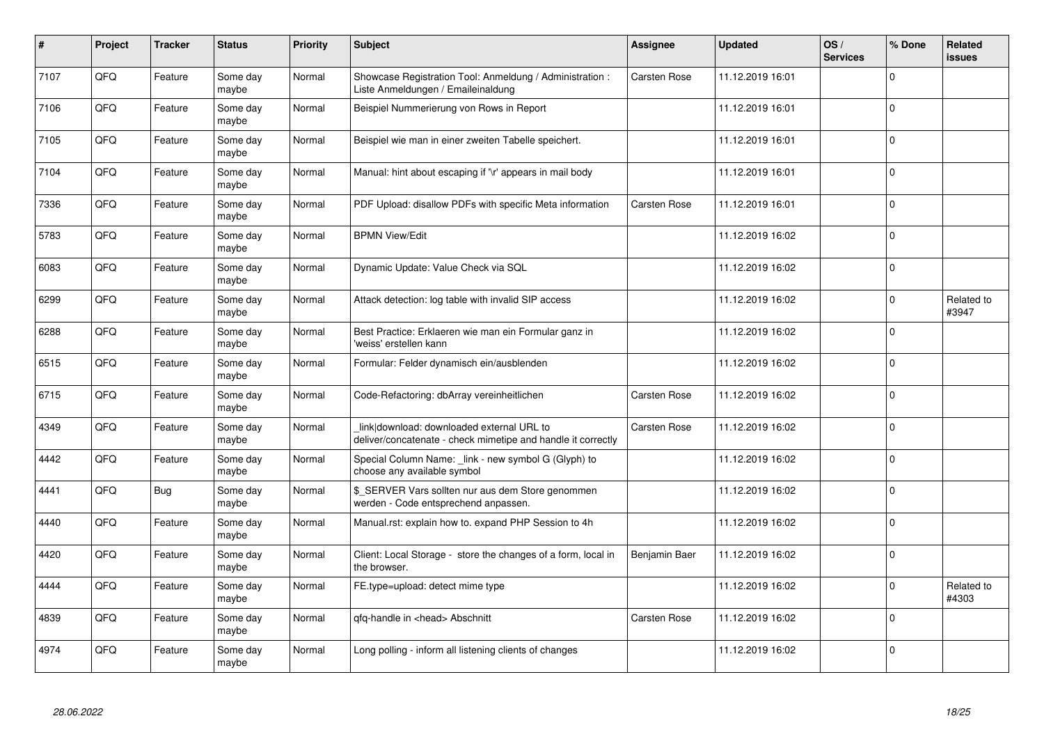| #    | Project | <b>Tracker</b> | <b>Status</b>     | <b>Priority</b> | <b>Subject</b>                                                                                            | Assignee            | <b>Updated</b>   | OS/<br><b>Services</b> | % Done   | Related<br><b>issues</b> |
|------|---------|----------------|-------------------|-----------------|-----------------------------------------------------------------------------------------------------------|---------------------|------------------|------------------------|----------|--------------------------|
| 7107 | QFQ     | Feature        | Some day<br>maybe | Normal          | Showcase Registration Tool: Anmeldung / Administration :<br>Liste Anmeldungen / Emaileinaldung            | <b>Carsten Rose</b> | 11.12.2019 16:01 |                        | $\Omega$ |                          |
| 7106 | QFQ     | Feature        | Some dav<br>maybe | Normal          | Beispiel Nummerierung von Rows in Report                                                                  |                     | 11.12.2019 16:01 |                        | $\Omega$ |                          |
| 7105 | QFQ     | Feature        | Some day<br>maybe | Normal          | Beispiel wie man in einer zweiten Tabelle speichert.                                                      |                     | 11.12.2019 16:01 |                        | $\Omega$ |                          |
| 7104 | QFQ     | Feature        | Some day<br>maybe | Normal          | Manual: hint about escaping if '\r' appears in mail body                                                  |                     | 11.12.2019 16:01 |                        | $\Omega$ |                          |
| 7336 | QFQ     | Feature        | Some day<br>maybe | Normal          | PDF Upload: disallow PDFs with specific Meta information                                                  | <b>Carsten Rose</b> | 11.12.2019 16:01 |                        | $\Omega$ |                          |
| 5783 | QFQ     | Feature        | Some dav<br>maybe | Normal          | <b>BPMN View/Edit</b>                                                                                     |                     | 11.12.2019 16:02 |                        | $\Omega$ |                          |
| 6083 | QFQ     | Feature        | Some day<br>maybe | Normal          | Dynamic Update: Value Check via SQL                                                                       |                     | 11.12.2019 16:02 |                        | $\Omega$ |                          |
| 6299 | QFQ     | Feature        | Some day<br>maybe | Normal          | Attack detection: log table with invalid SIP access                                                       |                     | 11.12.2019 16:02 |                        | $\Omega$ | Related to<br>#3947      |
| 6288 | QFQ     | Feature        | Some day<br>maybe | Normal          | Best Practice: Erklaeren wie man ein Formular ganz in<br>'weiss' erstellen kann                           |                     | 11.12.2019 16:02 |                        | $\Omega$ |                          |
| 6515 | QFQ     | Feature        | Some day<br>maybe | Normal          | Formular: Felder dynamisch ein/ausblenden                                                                 |                     | 11.12.2019 16:02 |                        | 0        |                          |
| 6715 | QFQ     | Feature        | Some day<br>maybe | Normal          | Code-Refactoring: dbArray vereinheitlichen                                                                | <b>Carsten Rose</b> | 11.12.2019 16:02 |                        | $\Omega$ |                          |
| 4349 | QFQ     | Feature        | Some day<br>maybe | Normal          | link download: downloaded external URL to<br>deliver/concatenate - check mimetipe and handle it correctly | Carsten Rose        | 11.12.2019 16:02 |                        | $\Omega$ |                          |
| 4442 | QFQ     | Feature        | Some day<br>maybe | Normal          | Special Column Name: link - new symbol G (Glyph) to<br>choose any available symbol                        |                     | 11.12.2019 16:02 |                        | 0        |                          |
| 4441 | QFQ     | <b>Bug</b>     | Some day<br>maybe | Normal          | \$ SERVER Vars sollten nur aus dem Store genommen<br>werden - Code entsprechend anpassen.                 |                     | 11.12.2019 16:02 |                        | $\Omega$ |                          |
| 4440 | QFQ     | Feature        | Some dav<br>maybe | Normal          | Manual.rst: explain how to. expand PHP Session to 4h                                                      |                     | 11.12.2019 16:02 |                        | $\Omega$ |                          |
| 4420 | QFQ     | Feature        | Some day<br>maybe | Normal          | Client: Local Storage - store the changes of a form, local in<br>the browser.                             | Benjamin Baer       | 11.12.2019 16:02 |                        | $\Omega$ |                          |
| 4444 | QFQ     | Feature        | Some day<br>maybe | Normal          | FE.type=upload: detect mime type                                                                          |                     | 11.12.2019 16:02 |                        | $\Omega$ | Related to<br>#4303      |
| 4839 | QFQ     | Feature        | Some day<br>maybe | Normal          | qfq-handle in <head> Abschnitt</head>                                                                     | Carsten Rose        | 11.12.2019 16:02 |                        | $\Omega$ |                          |
| 4974 | QFQ     | Feature        | Some day<br>maybe | Normal          | Long polling - inform all listening clients of changes                                                    |                     | 11.12.2019 16:02 |                        | $\Omega$ |                          |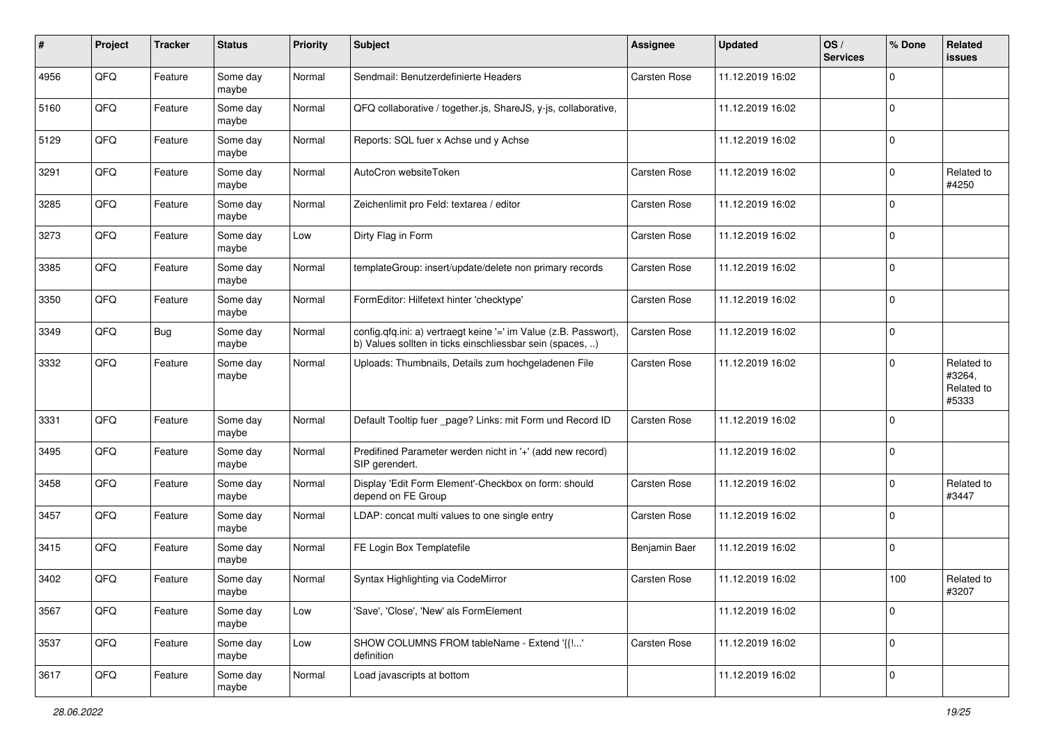| #    | Project | <b>Tracker</b> | <b>Status</b>     | <b>Priority</b> | <b>Subject</b>                                                                                                                | Assignee            | <b>Updated</b>   | OS/<br><b>Services</b> | % Done      | Related<br><b>issues</b>                    |
|------|---------|----------------|-------------------|-----------------|-------------------------------------------------------------------------------------------------------------------------------|---------------------|------------------|------------------------|-------------|---------------------------------------------|
| 4956 | QFQ     | Feature        | Some day<br>maybe | Normal          | Sendmail: Benutzerdefinierte Headers                                                                                          | Carsten Rose        | 11.12.2019 16:02 |                        | $\mathbf 0$ |                                             |
| 5160 | QFQ     | Feature        | Some day<br>maybe | Normal          | QFQ collaborative / together.js, ShareJS, y-js, collaborative,                                                                |                     | 11.12.2019 16:02 |                        | $\mathbf 0$ |                                             |
| 5129 | QFQ     | Feature        | Some day<br>maybe | Normal          | Reports: SQL fuer x Achse und y Achse                                                                                         |                     | 11.12.2019 16:02 |                        | $\mathbf 0$ |                                             |
| 3291 | QFQ     | Feature        | Some day<br>maybe | Normal          | AutoCron websiteToken                                                                                                         | Carsten Rose        | 11.12.2019 16:02 |                        | $\mathbf 0$ | Related to<br>#4250                         |
| 3285 | QFQ     | Feature        | Some day<br>maybe | Normal          | Zeichenlimit pro Feld: textarea / editor                                                                                      | Carsten Rose        | 11.12.2019 16:02 |                        | $\mathbf 0$ |                                             |
| 3273 | QFQ     | Feature        | Some day<br>maybe | Low             | Dirty Flag in Form                                                                                                            | Carsten Rose        | 11.12.2019 16:02 |                        | $\mathbf 0$ |                                             |
| 3385 | QFQ     | Feature        | Some day<br>maybe | Normal          | templateGroup: insert/update/delete non primary records                                                                       | Carsten Rose        | 11.12.2019 16:02 |                        | $\mathbf 0$ |                                             |
| 3350 | QFQ     | Feature        | Some day<br>maybe | Normal          | FormEditor: Hilfetext hinter 'checktype'                                                                                      | <b>Carsten Rose</b> | 11.12.2019 16:02 |                        | $\mathbf 0$ |                                             |
| 3349 | QFQ     | Bug            | Some day<br>maybe | Normal          | config.qfq.ini: a) vertraegt keine '=' im Value (z.B. Passwort),<br>b) Values sollten in ticks einschliessbar sein (spaces, ) | Carsten Rose        | 11.12.2019 16:02 |                        | $\mathbf 0$ |                                             |
| 3332 | QFQ     | Feature        | Some day<br>maybe | Normal          | Uploads: Thumbnails, Details zum hochgeladenen File                                                                           | Carsten Rose        | 11.12.2019 16:02 |                        | $\mathbf 0$ | Related to<br>#3264,<br>Related to<br>#5333 |
| 3331 | QFQ     | Feature        | Some day<br>maybe | Normal          | Default Tooltip fuer _page? Links: mit Form und Record ID                                                                     | Carsten Rose        | 11.12.2019 16:02 |                        | $\mathbf 0$ |                                             |
| 3495 | QFQ     | Feature        | Some day<br>maybe | Normal          | Predifined Parameter werden nicht in '+' (add new record)<br>SIP gerendert.                                                   |                     | 11.12.2019 16:02 |                        | $\mathbf 0$ |                                             |
| 3458 | QFQ     | Feature        | Some day<br>maybe | Normal          | Display 'Edit Form Element'-Checkbox on form: should<br>depend on FE Group                                                    | Carsten Rose        | 11.12.2019 16:02 |                        | $\mathbf 0$ | Related to<br>#3447                         |
| 3457 | QFQ     | Feature        | Some day<br>maybe | Normal          | LDAP: concat multi values to one single entry                                                                                 | Carsten Rose        | 11.12.2019 16:02 |                        | $\mathbf 0$ |                                             |
| 3415 | QFQ     | Feature        | Some day<br>maybe | Normal          | FE Login Box Templatefile                                                                                                     | Benjamin Baer       | 11.12.2019 16:02 |                        | $\mathbf 0$ |                                             |
| 3402 | QFQ     | Feature        | Some day<br>maybe | Normal          | Syntax Highlighting via CodeMirror                                                                                            | Carsten Rose        | 11.12.2019 16:02 |                        | 100         | Related to<br>#3207                         |
| 3567 | QFQ     | Feature        | Some day<br>maybe | Low             | 'Save', 'Close', 'New' als FormElement                                                                                        |                     | 11.12.2019 16:02 |                        | $\mathbf 0$ |                                             |
| 3537 | QFQ     | Feature        | Some day<br>maybe | Low             | SHOW COLUMNS FROM tableName - Extend '{{!'<br>definition                                                                      | Carsten Rose        | 11.12.2019 16:02 |                        | $\mathbf 0$ |                                             |
| 3617 | QFQ     | Feature        | Some day<br>maybe | Normal          | Load javascripts at bottom                                                                                                    |                     | 11.12.2019 16:02 |                        | $\mathsf 0$ |                                             |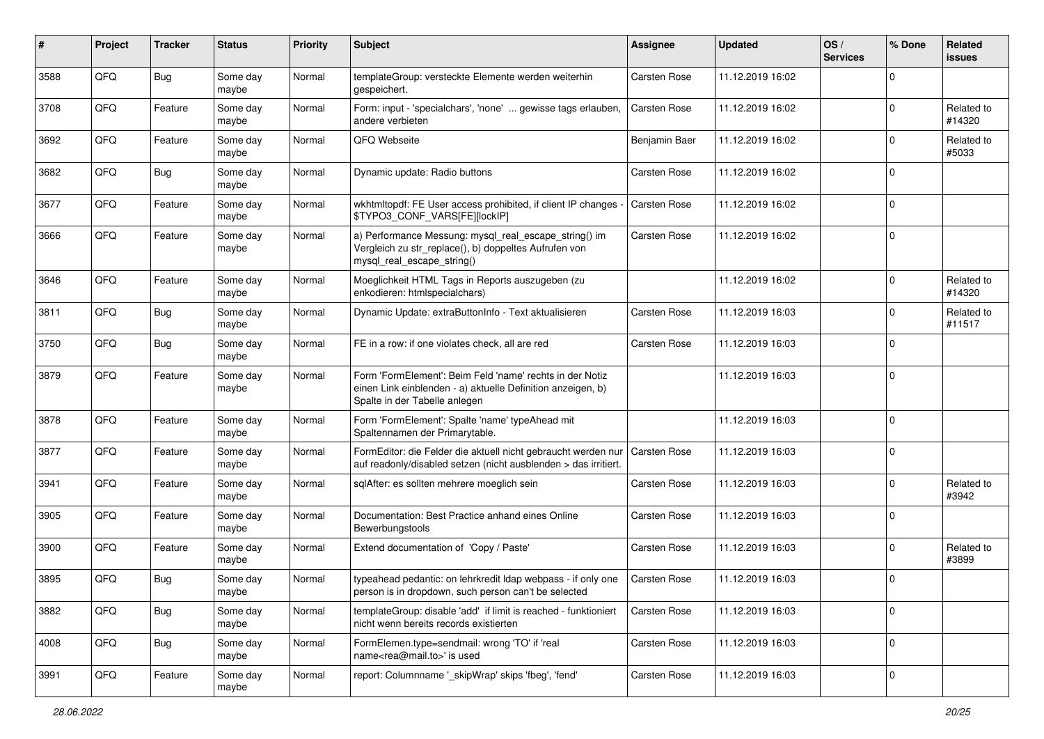| #    | Project | <b>Tracker</b> | <b>Status</b>     | <b>Priority</b> | <b>Subject</b>                                                                                                                                           | <b>Assignee</b>     | <b>Updated</b>   | OS/<br><b>Services</b> | % Done         | Related<br><b>issues</b> |
|------|---------|----------------|-------------------|-----------------|----------------------------------------------------------------------------------------------------------------------------------------------------------|---------------------|------------------|------------------------|----------------|--------------------------|
| 3588 | QFQ     | Bug            | Some day<br>maybe | Normal          | templateGroup: versteckte Elemente werden weiterhin<br>gespeichert.                                                                                      | Carsten Rose        | 11.12.2019 16:02 |                        | O              |                          |
| 3708 | QFQ     | Feature        | Some day<br>maybe | Normal          | Form: input - 'specialchars', 'none'  gewisse tags erlauben,<br>andere verbieten                                                                         | <b>Carsten Rose</b> | 11.12.2019 16:02 |                        | $\Omega$       | Related to<br>#14320     |
| 3692 | QFQ     | Feature        | Some day<br>maybe | Normal          | QFQ Webseite                                                                                                                                             | Benjamin Baer       | 11.12.2019 16:02 |                        | $\Omega$       | Related to<br>#5033      |
| 3682 | QFQ     | <b>Bug</b>     | Some day<br>maybe | Normal          | Dynamic update: Radio buttons                                                                                                                            | Carsten Rose        | 11.12.2019 16:02 |                        | $\Omega$       |                          |
| 3677 | QFQ     | Feature        | Some day<br>maybe | Normal          | wkhtmltopdf: FE User access prohibited, if client IP changes -<br>\$TYPO3_CONF_VARS[FE][lockIP]                                                          | Carsten Rose        | 11.12.2019 16:02 |                        | $\Omega$       |                          |
| 3666 | QFQ     | Feature        | Some day<br>maybe | Normal          | a) Performance Messung: mysql_real_escape_string() im<br>Vergleich zu str_replace(), b) doppeltes Aufrufen von<br>mysql_real_escape_string()             | Carsten Rose        | 11.12.2019 16:02 |                        | $\Omega$       |                          |
| 3646 | QFQ     | Feature        | Some day<br>maybe | Normal          | Moeglichkeit HTML Tags in Reports auszugeben (zu<br>enkodieren: htmlspecialchars)                                                                        |                     | 11.12.2019 16:02 |                        | $\Omega$       | Related to<br>#14320     |
| 3811 | QFQ     | Bug            | Some day<br>maybe | Normal          | Dynamic Update: extraButtonInfo - Text aktualisieren                                                                                                     | Carsten Rose        | 11.12.2019 16:03 |                        | $\Omega$       | Related to<br>#11517     |
| 3750 | QFQ     | Bug            | Some day<br>maybe | Normal          | FE in a row: if one violates check, all are red                                                                                                          | Carsten Rose        | 11.12.2019 16:03 |                        | $\Omega$       |                          |
| 3879 | QFQ     | Feature        | Some day<br>maybe | Normal          | Form 'FormElement': Beim Feld 'name' rechts in der Notiz<br>einen Link einblenden - a) aktuelle Definition anzeigen, b)<br>Spalte in der Tabelle anlegen |                     | 11.12.2019 16:03 |                        | $\mathbf 0$    |                          |
| 3878 | QFQ     | Feature        | Some day<br>maybe | Normal          | Form 'FormElement': Spalte 'name' typeAhead mit<br>Spaltennamen der Primarytable.                                                                        |                     | 11.12.2019 16:03 |                        | $\mathbf 0$    |                          |
| 3877 | QFQ     | Feature        | Some day<br>maybe | Normal          | FormEditor: die Felder die aktuell nicht gebraucht werden nur<br>auf readonly/disabled setzen (nicht ausblenden > das irritiert.                         | <b>Carsten Rose</b> | 11.12.2019 16:03 |                        | $\Omega$       |                          |
| 3941 | QFQ     | Feature        | Some day<br>maybe | Normal          | sqlAfter: es sollten mehrere moeglich sein                                                                                                               | Carsten Rose        | 11.12.2019 16:03 |                        | $\Omega$       | Related to<br>#3942      |
| 3905 | QFQ     | Feature        | Some day<br>maybe | Normal          | Documentation: Best Practice anhand eines Online<br>Bewerbungstools                                                                                      | Carsten Rose        | 11.12.2019 16:03 |                        | $\Omega$       |                          |
| 3900 | QFQ     | Feature        | Some day<br>maybe | Normal          | Extend documentation of 'Copy / Paste'                                                                                                                   | Carsten Rose        | 11.12.2019 16:03 |                        | $\Omega$       | Related to<br>#3899      |
| 3895 | QFQ     | Bug            | Some day<br>maybe | Normal          | typeahead pedantic: on lehrkredit Idap webpass - if only one<br>person is in dropdown, such person can't be selected                                     | <b>Carsten Rose</b> | 11.12.2019 16:03 |                        | $\Omega$       |                          |
| 3882 | QFQ     | <b>Bug</b>     | Some day<br>maybe | Normal          | templateGroup: disable 'add' if limit is reached - funktioniert<br>nicht wenn bereits records existierten                                                | Carsten Rose        | 11.12.2019 16:03 |                        | $\mathbf 0$    |                          |
| 4008 | QFQ     | <b>Bug</b>     | Some day<br>maybe | Normal          | FormElemen.type=sendmail: wrong 'TO' if 'real<br>name <rea@mail.to>' is used</rea@mail.to>                                                               | Carsten Rose        | 11.12.2019 16:03 |                        | $\overline{0}$ |                          |
| 3991 | QFG     | Feature        | Some day<br>maybe | Normal          | report: Columnname '_skipWrap' skips 'fbeg', 'fend'                                                                                                      | Carsten Rose        | 11.12.2019 16:03 |                        | $\overline{0}$ |                          |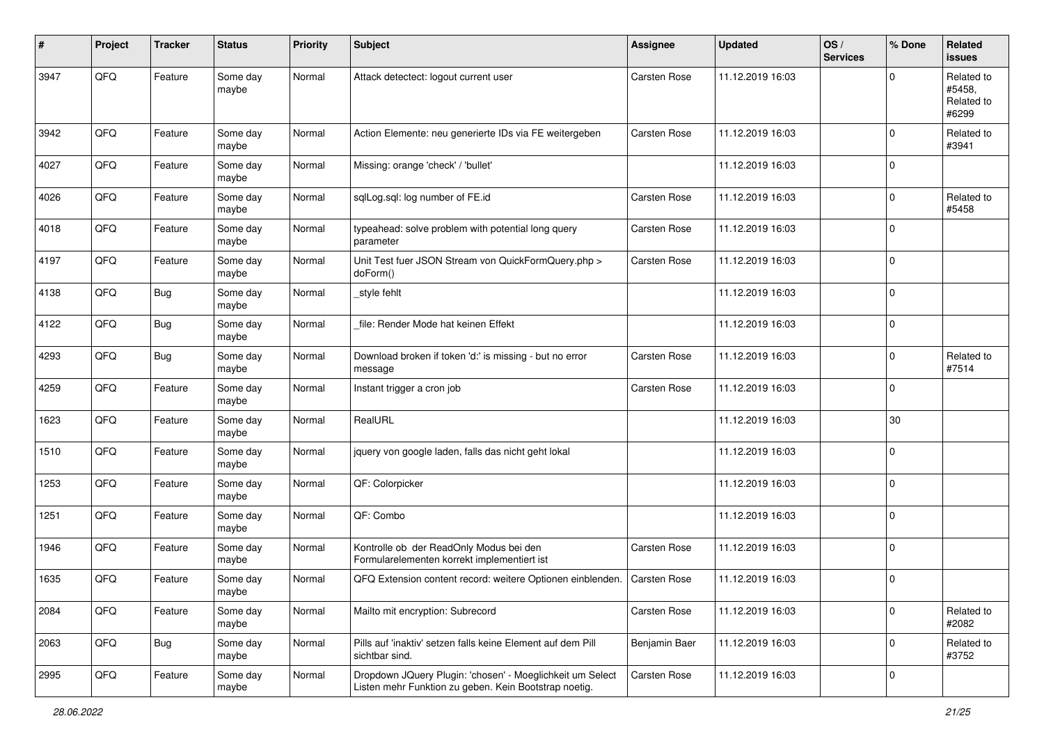| #    | Project | <b>Tracker</b> | <b>Status</b>     | <b>Priority</b> | <b>Subject</b>                                                                                                     | <b>Assignee</b>     | <b>Updated</b>   | OS/<br><b>Services</b> | % Done      | Related<br><b>issues</b>                    |
|------|---------|----------------|-------------------|-----------------|--------------------------------------------------------------------------------------------------------------------|---------------------|------------------|------------------------|-------------|---------------------------------------------|
| 3947 | QFQ     | Feature        | Some day<br>maybe | Normal          | Attack detectect: logout current user                                                                              | Carsten Rose        | 11.12.2019 16:03 |                        | $\mathbf 0$ | Related to<br>#5458.<br>Related to<br>#6299 |
| 3942 | QFQ     | Feature        | Some day<br>maybe | Normal          | Action Elemente: neu generierte IDs via FE weitergeben                                                             | Carsten Rose        | 11.12.2019 16:03 |                        | $\mathbf 0$ | Related to<br>#3941                         |
| 4027 | QFQ     | Feature        | Some day<br>maybe | Normal          | Missing: orange 'check' / 'bullet'                                                                                 |                     | 11.12.2019 16:03 |                        | $\mathbf 0$ |                                             |
| 4026 | QFQ     | Feature        | Some day<br>maybe | Normal          | sqlLog.sql: log number of FE.id                                                                                    | <b>Carsten Rose</b> | 11.12.2019 16:03 |                        | $\mathbf 0$ | Related to<br>#5458                         |
| 4018 | QFQ     | Feature        | Some day<br>maybe | Normal          | typeahead: solve problem with potential long query<br>parameter                                                    | Carsten Rose        | 11.12.2019 16:03 |                        | $\mathbf 0$ |                                             |
| 4197 | QFQ     | Feature        | Some day<br>maybe | Normal          | Unit Test fuer JSON Stream von QuickFormQuery.php ><br>doForm()                                                    | Carsten Rose        | 11.12.2019 16:03 |                        | $\mathbf 0$ |                                             |
| 4138 | QFQ     | Bug            | Some day<br>maybe | Normal          | _style fehlt                                                                                                       |                     | 11.12.2019 16:03 |                        | $\mathbf 0$ |                                             |
| 4122 | QFQ     | <b>Bug</b>     | Some day<br>maybe | Normal          | file: Render Mode hat keinen Effekt                                                                                |                     | 11.12.2019 16:03 |                        | $\pmb{0}$   |                                             |
| 4293 | QFQ     | Bug            | Some day<br>maybe | Normal          | Download broken if token 'd:' is missing - but no error<br>message                                                 | <b>Carsten Rose</b> | 11.12.2019 16:03 |                        | $\mathbf 0$ | Related to<br>#7514                         |
| 4259 | QFQ     | Feature        | Some day<br>maybe | Normal          | Instant trigger a cron job                                                                                         | Carsten Rose        | 11.12.2019 16:03 |                        | $\mathbf 0$ |                                             |
| 1623 | QFQ     | Feature        | Some day<br>maybe | Normal          | RealURL                                                                                                            |                     | 11.12.2019 16:03 |                        | 30          |                                             |
| 1510 | QFQ     | Feature        | Some day<br>maybe | Normal          | jquery von google laden, falls das nicht geht lokal                                                                |                     | 11.12.2019 16:03 |                        | $\mathbf 0$ |                                             |
| 1253 | QFQ     | Feature        | Some day<br>maybe | Normal          | QF: Colorpicker                                                                                                    |                     | 11.12.2019 16:03 |                        | $\mathbf 0$ |                                             |
| 1251 | QFQ     | Feature        | Some day<br>maybe | Normal          | QF: Combo                                                                                                          |                     | 11.12.2019 16:03 |                        | $\mathbf 0$ |                                             |
| 1946 | QFQ     | Feature        | Some day<br>maybe | Normal          | Kontrolle ob der ReadOnly Modus bei den<br>Formularelementen korrekt implementiert ist                             | Carsten Rose        | 11.12.2019 16:03 |                        | $\mathbf 0$ |                                             |
| 1635 | QFQ     | Feature        | Some day<br>maybe | Normal          | QFQ Extension content record: weitere Optionen einblenden.                                                         | Carsten Rose        | 11.12.2019 16:03 |                        | $\mathbf 0$ |                                             |
| 2084 | QFQ     | Feature        | Some day<br>maybe | Normal          | Mailto mit encryption: Subrecord                                                                                   | Carsten Rose        | 11.12.2019 16:03 |                        | $\mathbf 0$ | Related to<br>#2082                         |
| 2063 | QFQ     | <b>Bug</b>     | Some day<br>maybe | Normal          | Pills auf 'inaktiv' setzen falls keine Element auf dem Pill<br>sichtbar sind.                                      | Benjamin Baer       | 11.12.2019 16:03 |                        | $\mathbf 0$ | Related to<br>#3752                         |
| 2995 | QFQ     | Feature        | Some day<br>maybe | Normal          | Dropdown JQuery Plugin: 'chosen' - Moeglichkeit um Select<br>Listen mehr Funktion zu geben. Kein Bootstrap noetig. | Carsten Rose        | 11.12.2019 16:03 |                        | $\mathbf 0$ |                                             |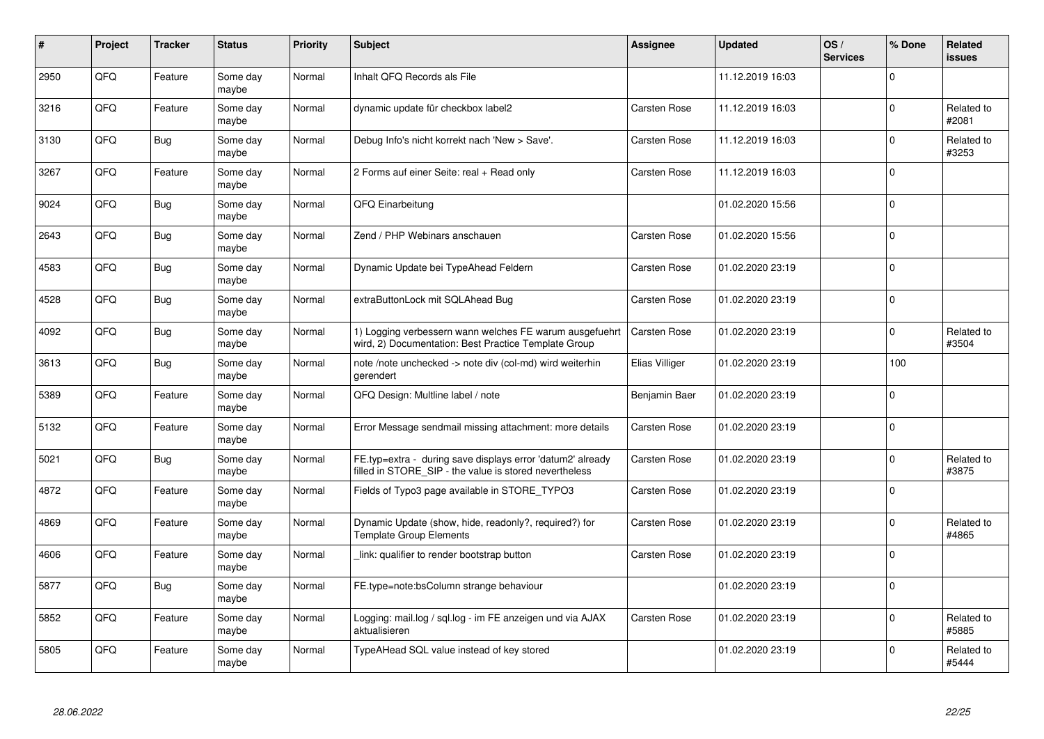| #    | Project    | <b>Tracker</b> | <b>Status</b>     | <b>Priority</b> | <b>Subject</b>                                                                                                       | <b>Assignee</b>     | <b>Updated</b>   | OS/<br><b>Services</b> | % Done      | <b>Related</b><br><b>issues</b> |
|------|------------|----------------|-------------------|-----------------|----------------------------------------------------------------------------------------------------------------------|---------------------|------------------|------------------------|-------------|---------------------------------|
| 2950 | QFQ        | Feature        | Some day<br>maybe | Normal          | Inhalt QFQ Records als File                                                                                          |                     | 11.12.2019 16:03 |                        | $\mathbf 0$ |                                 |
| 3216 | QFQ        | Feature        | Some day<br>maybe | Normal          | dynamic update für checkbox label2                                                                                   | <b>Carsten Rose</b> | 11.12.2019 16:03 |                        | $\mathbf 0$ | Related to<br>#2081             |
| 3130 | QFQ        | <b>Bug</b>     | Some day<br>maybe | Normal          | Debug Info's nicht korrekt nach 'New > Save'.                                                                        | Carsten Rose        | 11.12.2019 16:03 |                        | $\mathbf 0$ | Related to<br>#3253             |
| 3267 | <b>OFO</b> | Feature        | Some day<br>maybe | Normal          | 2 Forms auf einer Seite: real + Read only                                                                            | Carsten Rose        | 11.12.2019 16:03 |                        | $\Omega$    |                                 |
| 9024 | QFQ        | Bug            | Some day<br>maybe | Normal          | QFQ Einarbeitung                                                                                                     |                     | 01.02.2020 15:56 |                        | $\mathbf 0$ |                                 |
| 2643 | QFQ        | <b>Bug</b>     | Some day<br>maybe | Normal          | Zend / PHP Webinars anschauen                                                                                        | Carsten Rose        | 01.02.2020 15:56 |                        | $\mathbf 0$ |                                 |
| 4583 | QFQ        | <b>Bug</b>     | Some day<br>maybe | Normal          | Dynamic Update bei TypeAhead Feldern                                                                                 | Carsten Rose        | 01.02.2020 23:19 |                        | $\mathbf 0$ |                                 |
| 4528 | QFQ        | <b>Bug</b>     | Some day<br>maybe | Normal          | extraButtonLock mit SQLAhead Bug                                                                                     | Carsten Rose        | 01.02.2020 23:19 |                        | $\Omega$    |                                 |
| 4092 | QFQ        | Bug            | Some day<br>maybe | Normal          | 1) Logging verbessern wann welches FE warum ausgefuehrt<br>wird, 2) Documentation: Best Practice Template Group      | <b>Carsten Rose</b> | 01.02.2020 23:19 |                        | $\mathbf 0$ | Related to<br>#3504             |
| 3613 | QFQ        | Bug            | Some day<br>maybe | Normal          | note /note unchecked -> note div (col-md) wird weiterhin<br>gerendert                                                | Elias Villiger      | 01.02.2020 23:19 |                        | 100         |                                 |
| 5389 | QFQ        | Feature        | Some day<br>maybe | Normal          | QFQ Design: Multline label / note                                                                                    | Benjamin Baer       | 01.02.2020 23:19 |                        | $\mathbf 0$ |                                 |
| 5132 | QFQ        | Feature        | Some day<br>maybe | Normal          | Error Message sendmail missing attachment: more details                                                              | Carsten Rose        | 01.02.2020 23:19 |                        | $\mathbf 0$ |                                 |
| 5021 | QFQ        | Bug            | Some day<br>maybe | Normal          | FE.typ=extra - during save displays error 'datum2' already<br>filled in STORE SIP - the value is stored nevertheless | Carsten Rose        | 01.02.2020 23:19 |                        | $\pmb{0}$   | Related to<br>#3875             |
| 4872 | QFQ        | Feature        | Some day<br>maybe | Normal          | Fields of Typo3 page available in STORE_TYPO3                                                                        | Carsten Rose        | 01.02.2020 23:19 |                        | $\pmb{0}$   |                                 |
| 4869 | QFQ        | Feature        | Some day<br>maybe | Normal          | Dynamic Update (show, hide, readonly?, required?) for<br><b>Template Group Elements</b>                              | Carsten Rose        | 01.02.2020 23:19 |                        | $\Omega$    | Related to<br>#4865             |
| 4606 | QFQ        | Feature        | Some day<br>maybe | Normal          | link: qualifier to render bootstrap button                                                                           | Carsten Rose        | 01.02.2020 23:19 |                        | $\Omega$    |                                 |
| 5877 | QFQ        | Bug            | Some day<br>maybe | Normal          | FE.type=note:bsColumn strange behaviour                                                                              |                     | 01.02.2020 23:19 |                        | $\mathbf 0$ |                                 |
| 5852 | QFQ        | Feature        | Some day<br>maybe | Normal          | Logging: mail.log / sql.log - im FE anzeigen und via AJAX<br>aktualisieren                                           | Carsten Rose        | 01.02.2020 23:19 |                        | $\pmb{0}$   | Related to<br>#5885             |
| 5805 | QFQ        | Feature        | Some day<br>maybe | Normal          | TypeAHead SQL value instead of key stored                                                                            |                     | 01.02.2020 23:19 |                        | $\Omega$    | Related to<br>#5444             |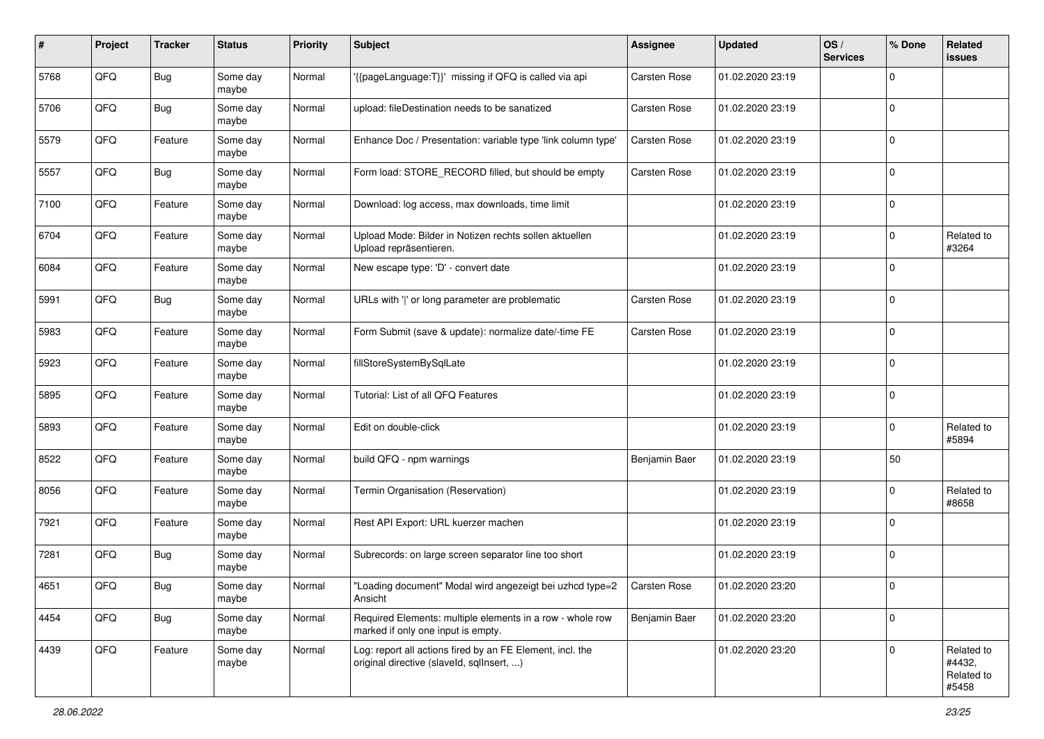| $\pmb{\#}$ | Project | <b>Tracker</b> | <b>Status</b>     | <b>Priority</b> | <b>Subject</b>                                                                                         | <b>Assignee</b> | <b>Updated</b>   | OS/<br><b>Services</b> | % Done       | Related<br><b>issues</b>                    |
|------------|---------|----------------|-------------------|-----------------|--------------------------------------------------------------------------------------------------------|-----------------|------------------|------------------------|--------------|---------------------------------------------|
| 5768       | QFQ     | <b>Bug</b>     | Some day<br>maybe | Normal          | '{{pageLanguage:T}}' missing if QFQ is called via api                                                  | Carsten Rose    | 01.02.2020 23:19 |                        | $\Omega$     |                                             |
| 5706       | QFQ     | Bug            | Some day<br>maybe | Normal          | upload: fileDestination needs to be sanatized                                                          | Carsten Rose    | 01.02.2020 23:19 |                        | $\mathbf 0$  |                                             |
| 5579       | QFQ     | Feature        | Some day<br>maybe | Normal          | Enhance Doc / Presentation: variable type 'link column type'                                           | Carsten Rose    | 01.02.2020 23:19 |                        | $\Omega$     |                                             |
| 5557       | QFQ     | Bug            | Some day<br>maybe | Normal          | Form load: STORE_RECORD filled, but should be empty                                                    | Carsten Rose    | 01.02.2020 23:19 |                        | $\mathbf 0$  |                                             |
| 7100       | QFQ     | Feature        | Some day<br>maybe | Normal          | Download: log access, max downloads, time limit                                                        |                 | 01.02.2020 23:19 |                        | $\mathbf 0$  |                                             |
| 6704       | QFQ     | Feature        | Some day<br>maybe | Normal          | Upload Mode: Bilder in Notizen rechts sollen aktuellen<br>Upload repräsentieren.                       |                 | 01.02.2020 23:19 |                        | $\Omega$     | Related to<br>#3264                         |
| 6084       | QFQ     | Feature        | Some day<br>maybe | Normal          | New escape type: 'D' - convert date                                                                    |                 | 01.02.2020 23:19 |                        | $\Omega$     |                                             |
| 5991       | QFQ     | <b>Bug</b>     | Some day<br>maybe | Normal          | URLs with ' ' or long parameter are problematic                                                        | Carsten Rose    | 01.02.2020 23:19 |                        | $\Omega$     |                                             |
| 5983       | QFQ     | Feature        | Some day<br>maybe | Normal          | Form Submit (save & update): normalize date/-time FE                                                   | Carsten Rose    | 01.02.2020 23:19 |                        | $\mathbf 0$  |                                             |
| 5923       | QFQ     | Feature        | Some day<br>maybe | Normal          | fillStoreSystemBySqlLate                                                                               |                 | 01.02.2020 23:19 |                        | $\Omega$     |                                             |
| 5895       | QFQ     | Feature        | Some day<br>maybe | Normal          | Tutorial: List of all QFQ Features                                                                     |                 | 01.02.2020 23:19 |                        | $\mathbf 0$  |                                             |
| 5893       | QFQ     | Feature        | Some day<br>maybe | Normal          | Edit on double-click                                                                                   |                 | 01.02.2020 23:19 |                        | $\Omega$     | Related to<br>#5894                         |
| 8522       | QFQ     | Feature        | Some day<br>maybe | Normal          | build QFQ - npm warnings                                                                               | Benjamin Baer   | 01.02.2020 23:19 |                        | 50           |                                             |
| 8056       | QFQ     | Feature        | Some day<br>maybe | Normal          | Termin Organisation (Reservation)                                                                      |                 | 01.02.2020 23:19 |                        | $\Omega$     | Related to<br>#8658                         |
| 7921       | QFQ     | Feature        | Some day<br>maybe | Normal          | Rest API Export: URL kuerzer machen                                                                    |                 | 01.02.2020 23:19 |                        | $\mathbf 0$  |                                             |
| 7281       | QFQ     | Bug            | Some day<br>maybe | Normal          | Subrecords: on large screen separator line too short                                                   |                 | 01.02.2020 23:19 |                        | $\mathbf 0$  |                                             |
| 4651       | QFQ     | Bug            | Some day<br>maybe | Normal          | "Loading document" Modal wird angezeigt bei uzhcd type=2<br>Ansicht                                    | Carsten Rose    | 01.02.2020 23:20 |                        | $\Omega$     |                                             |
| 4454       | QFQ     | Bug            | Some day<br>maybe | Normal          | Required Elements: multiple elements in a row - whole row<br>marked if only one input is empty.        | Benjamin Baer   | 01.02.2020 23:20 |                        | $\mathbf 0$  |                                             |
| 4439       | QFO     | Feature        | Some day<br>maybe | Normal          | Log: report all actions fired by an FE Element, incl. the<br>original directive (slaveld, sqlInsert, ) |                 | 01.02.2020 23:20 |                        | $\mathbf{0}$ | Related to<br>#4432,<br>Related to<br>#5458 |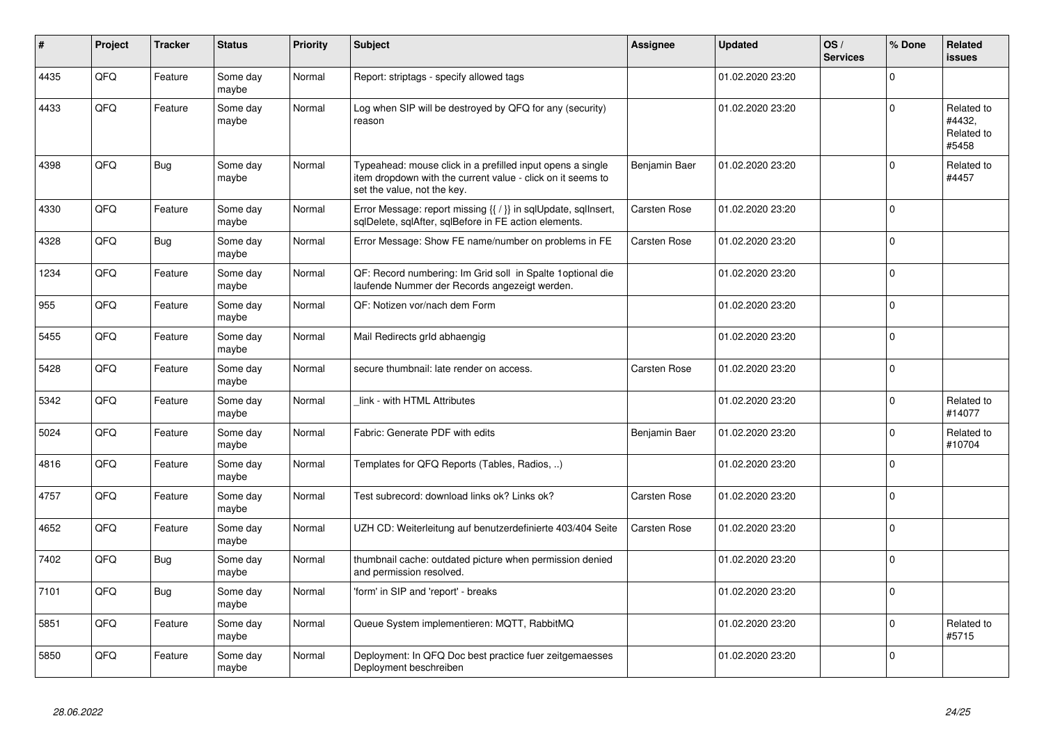| ∦    | Project | <b>Tracker</b> | <b>Status</b>     | <b>Priority</b> | <b>Subject</b>                                                                                                                                           | Assignee      | <b>Updated</b>   | OS/<br><b>Services</b> | % Done       | <b>Related</b><br><b>issues</b>             |
|------|---------|----------------|-------------------|-----------------|----------------------------------------------------------------------------------------------------------------------------------------------------------|---------------|------------------|------------------------|--------------|---------------------------------------------|
| 4435 | QFQ     | Feature        | Some day<br>maybe | Normal          | Report: striptags - specify allowed tags                                                                                                                 |               | 01.02.2020 23:20 |                        | $\Omega$     |                                             |
| 4433 | QFQ     | Feature        | Some day<br>maybe | Normal          | Log when SIP will be destroyed by QFQ for any (security)<br>reason                                                                                       |               | 01.02.2020 23:20 |                        | $\mathbf 0$  | Related to<br>#4432.<br>Related to<br>#5458 |
| 4398 | QFQ     | Bug            | Some day<br>maybe | Normal          | Typeahead: mouse click in a prefilled input opens a single<br>item dropdown with the current value - click on it seems to<br>set the value, not the key. | Benjamin Baer | 01.02.2020 23:20 |                        | $\Omega$     | Related to<br>#4457                         |
| 4330 | QFQ     | Feature        | Some day<br>maybe | Normal          | Error Message: report missing {{ / }} in sqlUpdate, sqlInsert,<br>sqlDelete, sqlAfter, sqlBefore in FE action elements.                                  | Carsten Rose  | 01.02.2020 23:20 |                        | $\Omega$     |                                             |
| 4328 | QFQ     | Bug            | Some day<br>maybe | Normal          | Error Message: Show FE name/number on problems in FE                                                                                                     | Carsten Rose  | 01.02.2020 23:20 |                        | $\Omega$     |                                             |
| 1234 | QFQ     | Feature        | Some day<br>maybe | Normal          | QF: Record numbering: Im Grid soll in Spalte 1 optional die<br>laufende Nummer der Records angezeigt werden.                                             |               | 01.02.2020 23:20 |                        | $\mathbf{0}$ |                                             |
| 955  | QFQ     | Feature        | Some day<br>maybe | Normal          | QF: Notizen vor/nach dem Form                                                                                                                            |               | 01.02.2020 23:20 |                        | $\mathbf 0$  |                                             |
| 5455 | QFQ     | Feature        | Some day<br>maybe | Normal          | Mail Redirects grld abhaengig                                                                                                                            |               | 01.02.2020 23:20 |                        | $\Omega$     |                                             |
| 5428 | QFQ     | Feature        | Some day<br>maybe | Normal          | secure thumbnail: late render on access.                                                                                                                 | Carsten Rose  | 01.02.2020 23:20 |                        | $\mathbf{0}$ |                                             |
| 5342 | QFQ     | Feature        | Some day<br>maybe | Normal          | link - with HTML Attributes                                                                                                                              |               | 01.02.2020 23:20 |                        | $\mathbf 0$  | Related to<br>#14077                        |
| 5024 | QFQ     | Feature        | Some day<br>maybe | Normal          | Fabric: Generate PDF with edits                                                                                                                          | Benjamin Baer | 01.02.2020 23:20 |                        | $\Omega$     | Related to<br>#10704                        |
| 4816 | QFQ     | Feature        | Some day<br>maybe | Normal          | Templates for QFQ Reports (Tables, Radios, )                                                                                                             |               | 01.02.2020 23:20 |                        | $\Omega$     |                                             |
| 4757 | QFQ     | Feature        | Some day<br>maybe | Normal          | Test subrecord: download links ok? Links ok?                                                                                                             | Carsten Rose  | 01.02.2020 23:20 |                        | $\mathbf{0}$ |                                             |
| 4652 | QFQ     | Feature        | Some day<br>maybe | Normal          | UZH CD: Weiterleitung auf benutzerdefinierte 403/404 Seite                                                                                               | Carsten Rose  | 01.02.2020 23:20 |                        | $\pmb{0}$    |                                             |
| 7402 | QFQ     | Bug            | Some day<br>maybe | Normal          | thumbnail cache: outdated picture when permission denied<br>and permission resolved.                                                                     |               | 01.02.2020 23:20 |                        | $\mathbf 0$  |                                             |
| 7101 | QFQ     | Bug            | Some day<br>maybe | Normal          | 'form' in SIP and 'report' - breaks                                                                                                                      |               | 01.02.2020 23:20 |                        | $\mathbf 0$  |                                             |
| 5851 | QFQ     | Feature        | Some day<br>maybe | Normal          | Queue System implementieren: MQTT, RabbitMQ                                                                                                              |               | 01.02.2020 23:20 |                        | $\mathbf 0$  | Related to<br>#5715                         |
| 5850 | QFQ     | Feature        | Some day<br>maybe | Normal          | Deployment: In QFQ Doc best practice fuer zeitgemaesses<br>Deployment beschreiben                                                                        |               | 01.02.2020 23:20 |                        | $\mathbf 0$  |                                             |